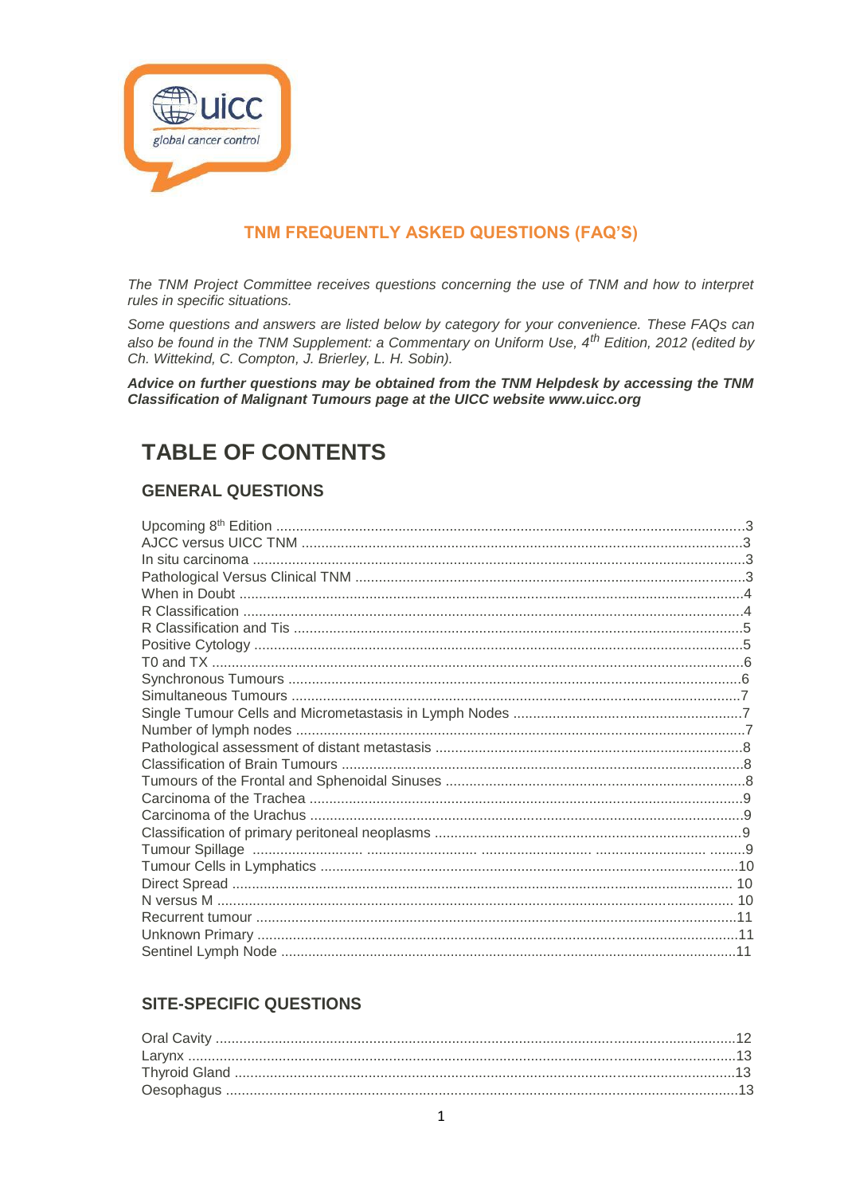

# TNM FREQUENTLY ASKED QUESTIONS (FAQ'S)

The TNM Project Committee receives questions concerning the use of TNM and how to interpret rules in specific situations.

Some questions and answers are listed below by category for your convenience. These FAQs can also be found in the TNM Supplement: a Commentary on Uniform Use, 4<sup>th</sup> Edition, 2012 (edited by Ch. Wittekind, C. Compton, J. Brierley, L. H. Sobin).

Advice on further questions may be obtained from the TNM Helpdesk by accessing the TNM Classification of Malignant Tumours page at the UICC website www.uicc.org

# **TABLE OF CONTENTS**

# **GENERAL QUESTIONS**

# **SITE-SPECIFIC QUESTIONS**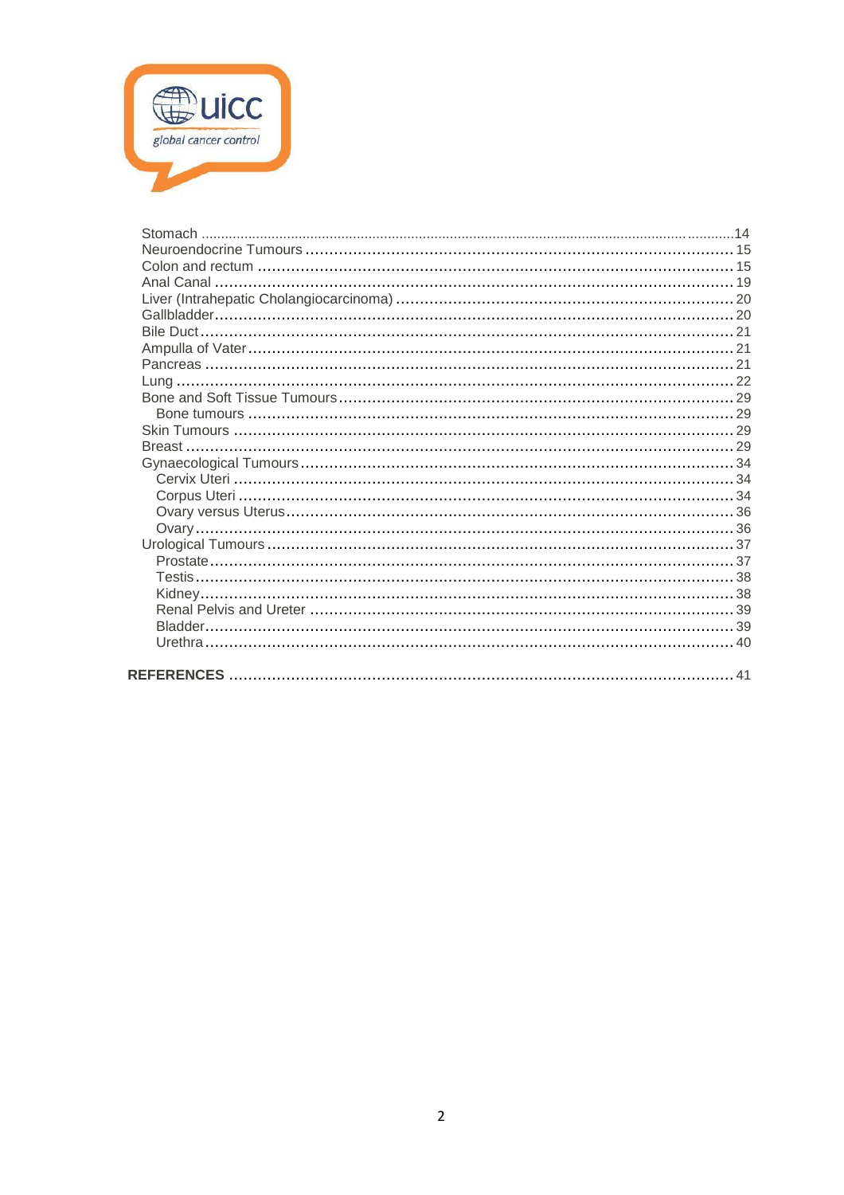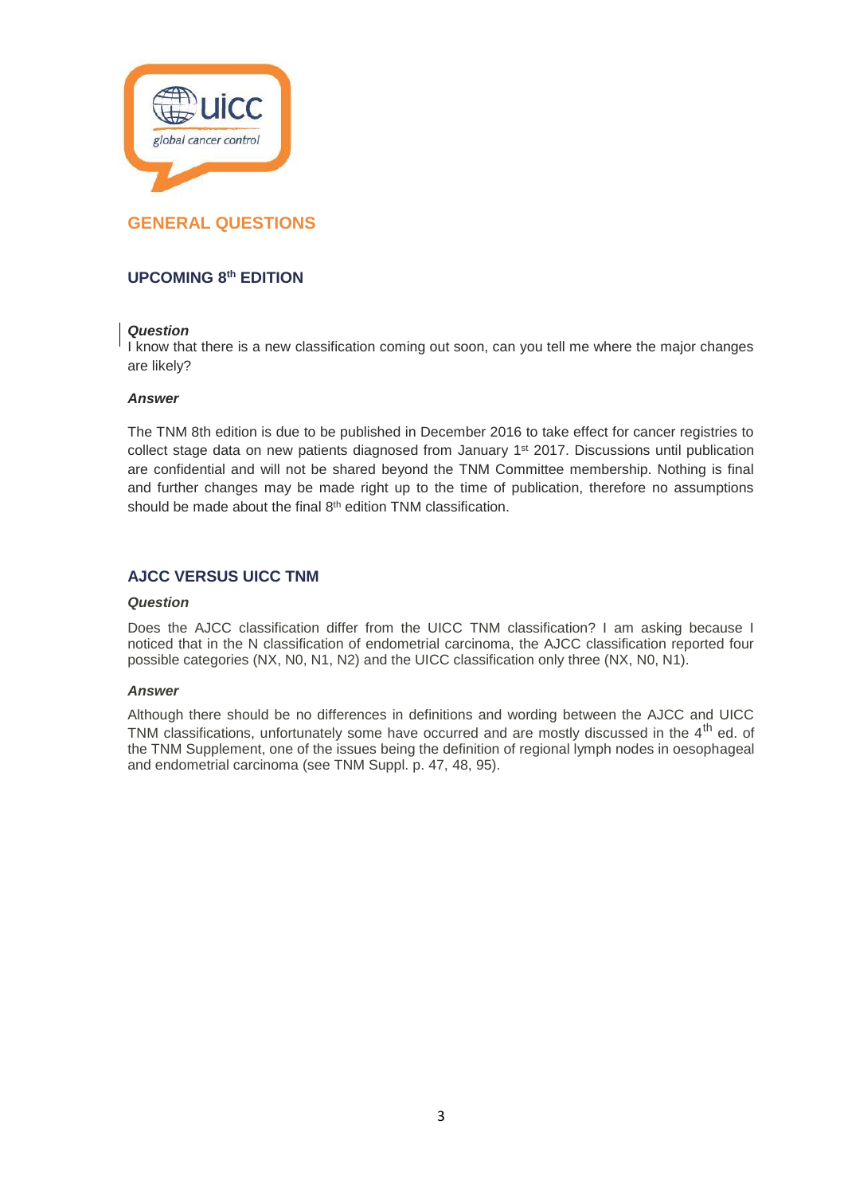

# **UPCOMING 8th EDITION**

# *Question*

I know that there is a new classification coming out soon, can you tell me where the major changes are likely?

# *Answer*

The TNM 8th edition is due to be published in December 2016 to take effect for cancer registries to collect stage data on new patients diagnosed from January 1<sup>st</sup> 2017. Discussions until publication are confidential and will not be shared beyond the TNM Committee membership. Nothing is final and further changes may be made right up to the time of publication, therefore no assumptions should be made about the final 8<sup>th</sup> edition TNM classification.

# **AJCC VERSUS UICC TNM**

#### *Question*

Does the AJCC classification differ from the UICC TNM classification? I am asking because I noticed that in the N classification of endometrial carcinoma, the AJCC classification reported four possible categories (NX, N0, N1, N2) and the UICC classification only three (NX, N0, N1).

#### *Answer*

Although there should be no differences in definitions and wording between the AJCC and UICC TNM classifications, unfortunately some have occurred and are mostly discussed in the 4<sup>th</sup> ed. of the TNM Supplement, one of the issues being the definition of regional lymph nodes in oesophageal and endometrial carcinoma (see TNM Suppl. p. 47, 48, 95).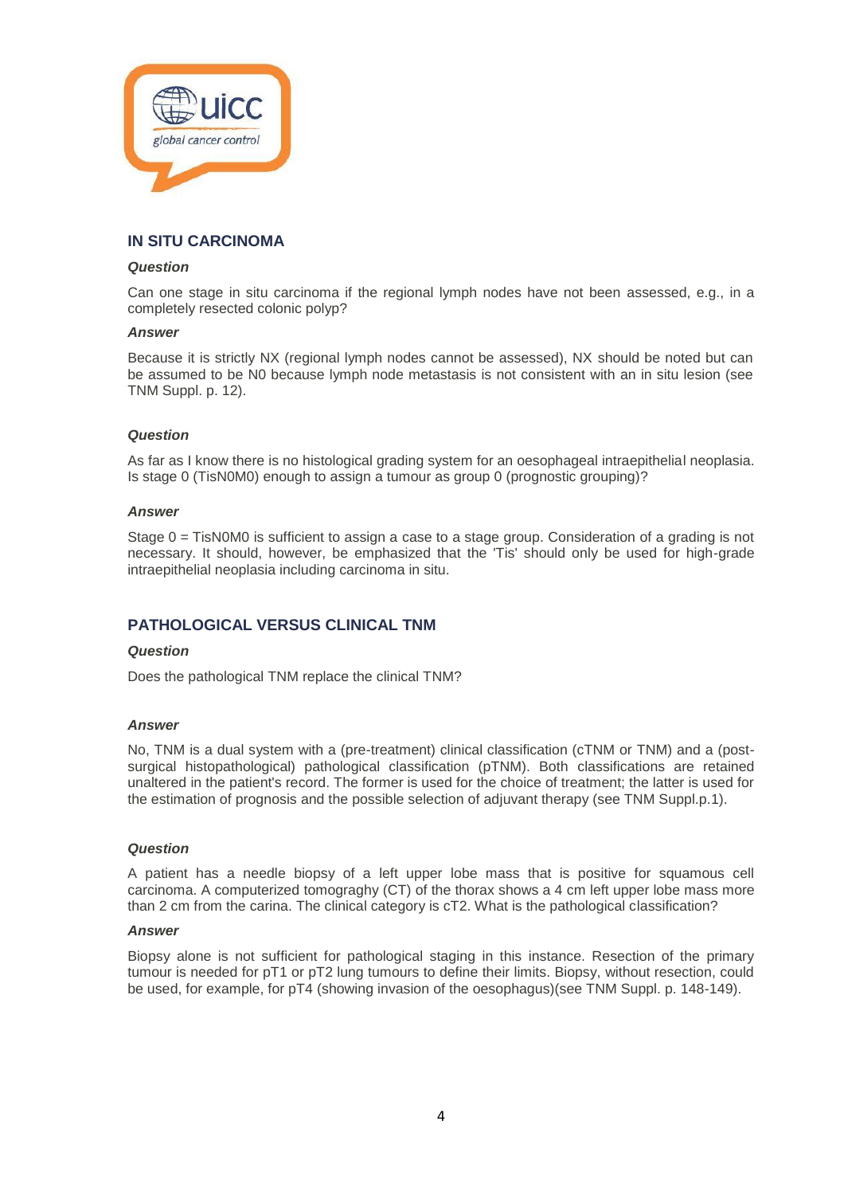

# **IN SITU CARCINOMA**

### *Question*

Can one stage in situ carcinoma if the regional lymph nodes have not been assessed, e.g., in a completely resected colonic polyp?

#### *Answer*

Because it is strictly NX (regional lymph nodes cannot be assessed), NX should be noted but can be assumed to be N0 because lymph node metastasis is not consistent with an in situ lesion (see TNM Suppl. p. 12).

# *Question*

As far as I know there is no histological grading system for an oesophageal intraepithelial neoplasia. Is stage 0 (TisN0M0) enough to assign a tumour as group 0 (prognostic grouping)?

#### *Answer*

Stage 0 = TisN0M0 is sufficient to assign a case to a stage group. Consideration of a grading is not necessary. It should, however, be emphasized that the 'Tis' should only be used for high-grade intraepithelial neoplasia including carcinoma in situ.

# **PATHOLOGICAL VERSUS CLINICAL TNM**

#### *Question*

Does the pathological TNM replace the clinical TNM?

#### *Answer*

No, TNM is a dual system with a (pre-treatment) clinical classification (cTNM or TNM) and a (postsurgical histopathological) pathological classification (pTNM). Both classifications are retained unaltered in the patient's record. The former is used for the choice of treatment; the latter is used for the estimation of prognosis and the possible selection of adjuvant therapy (see TNM Suppl.p.1).

#### *Question*

A patient has a needle biopsy of a left upper lobe mass that is positive for squamous cell carcinoma. A computerized tomograghy (CT) of the thorax shows a 4 cm left upper lobe mass more than 2 cm from the carina. The clinical category is cT2. What is the pathological classification?

# *Answer*

Biopsy alone is not sufficient for pathological staging in this instance. Resection of the primary tumour is needed for pT1 or pT2 lung tumours to define their limits. Biopsy, without resection, could be used, for example, for pT4 (showing invasion of the oesophagus)(see TNM Suppl. p. 148-149).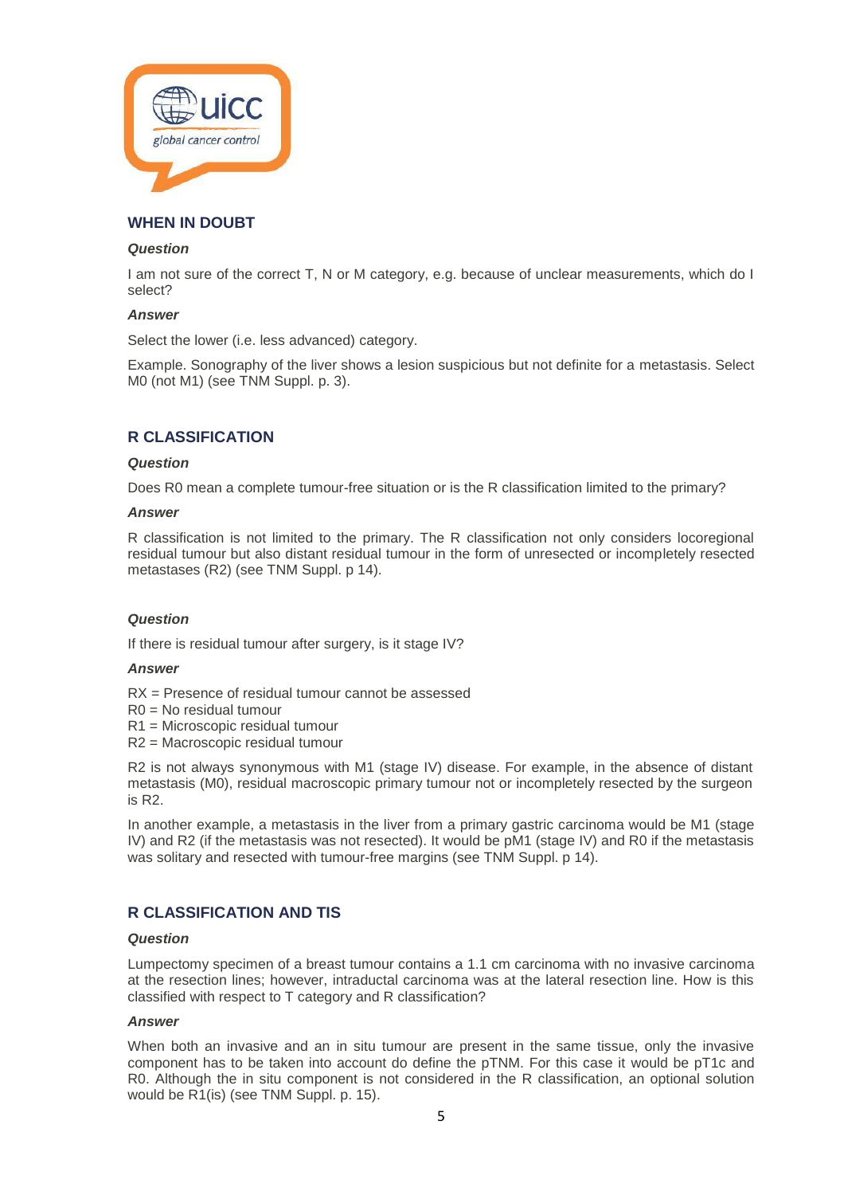

# **WHEN IN DOUBT**

### *Question*

I am not sure of the correct T, N or M category, e.g. because of unclear measurements, which do I select?

# *Answer*

Select the lower (i.e. less advanced) category.

Example. Sonography of the liver shows a lesion suspicious but not definite for a metastasis. Select M0 (not M1) (see TNM Suppl. p. 3).

# **R CLASSIFICATION**

#### *Question*

Does R0 mean a complete tumour-free situation or is the R classification limited to the primary?

#### *Answer*

R classification is not limited to the primary. The R classification not only considers locoregional residual tumour but also distant residual tumour in the form of unresected or incompletely resected metastases (R2) (see TNM Suppl. p 14).

# *Question*

If there is residual tumour after surgery, is it stage IV?

#### *Answer*

- RX = Presence of residual tumour cannot be assessed
- R0 = No residual tumour
- R1 = Microscopic residual tumour
- R2 = Macroscopic residual tumour

R2 is not always synonymous with M1 (stage IV) disease. For example, in the absence of distant metastasis (M0), residual macroscopic primary tumour not or incompletely resected by the surgeon is R2.

In another example, a metastasis in the liver from a primary gastric carcinoma would be M1 (stage IV) and R2 (if the metastasis was not resected). It would be pM1 (stage IV) and R0 if the metastasis was solitary and resected with tumour-free margins (see TNM Suppl. p 14).

# **R CLASSIFICATION AND TIS**

#### *Question*

Lumpectomy specimen of a breast tumour contains a 1.1 cm carcinoma with no invasive carcinoma at the resection lines; however, intraductal carcinoma was at the lateral resection line. How is this classified with respect to T category and R classification?

# *Answer*

When both an invasive and an in situ tumour are present in the same tissue, only the invasive component has to be taken into account do define the pTNM. For this case it would be pT1c and R0. Although the in situ component is not considered in the R classification, an optional solution would be R1(is) (see TNM Suppl. p. 15).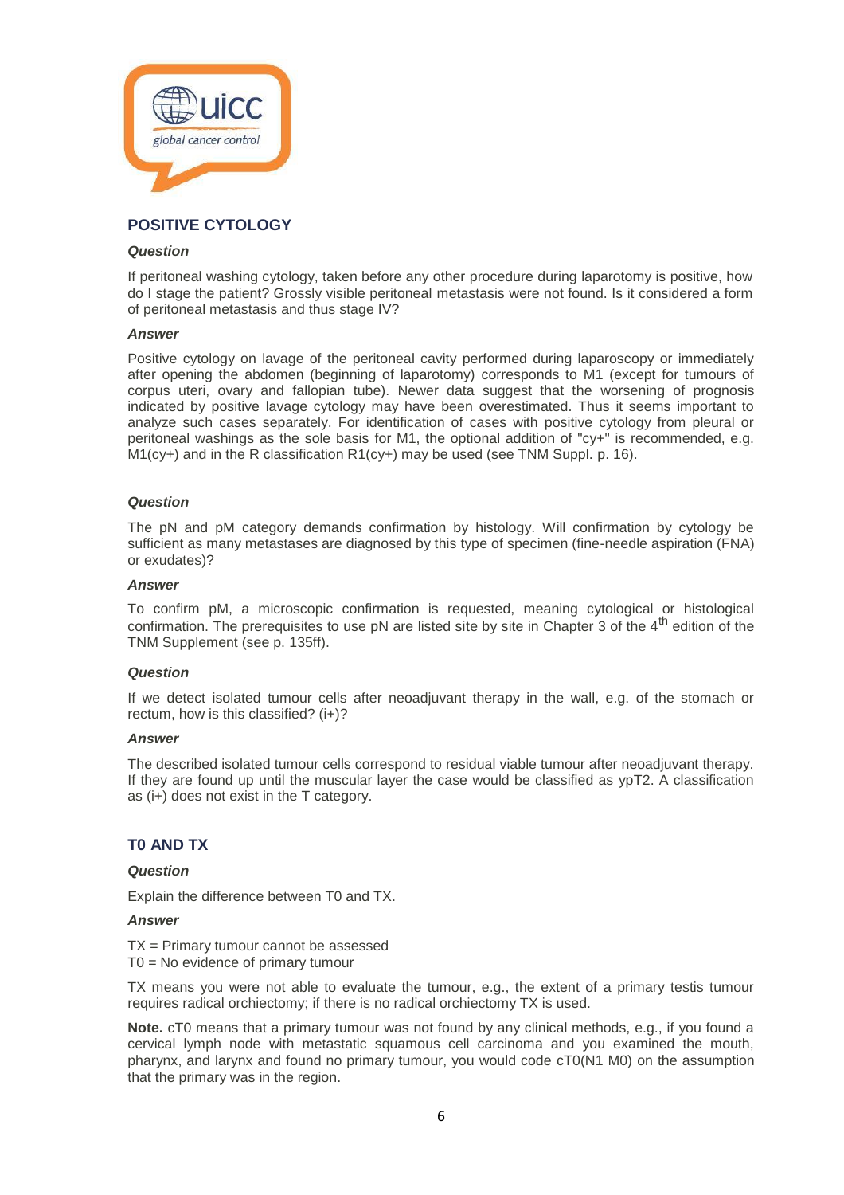

# **POSITIVE CYTOLOGY**

### *Question*

If peritoneal washing cytology, taken before any other procedure during laparotomy is positive, how do I stage the patient? Grossly visible peritoneal metastasis were not found. Is it considered a form of peritoneal metastasis and thus stage IV?

# *Answer*

Positive cytology on lavage of the peritoneal cavity performed during laparoscopy or immediately after opening the abdomen (beginning of laparotomy) corresponds to M1 (except for tumours of corpus uteri, ovary and fallopian tube). Newer data suggest that the worsening of prognosis indicated by positive lavage cytology may have been overestimated. Thus it seems important to analyze such cases separately. For identification of cases with positive cytology from pleural or peritoneal washings as the sole basis for M1, the optional addition of "cy+" is recommended, e.g.  $M1(cy+)$  and in the R classification  $R1(cy+)$  may be used (see TNM Suppl. p. 16).

# *Question*

The pN and pM category demands confirmation by histology. Will confirmation by cytology be sufficient as many metastases are diagnosed by this type of specimen (fine-needle aspiration (FNA) or exudates)?

#### *Answer*

To confirm pM, a microscopic confirmation is requested, meaning cytological or histological confirmation. The prerequisites to use  $pN$  are listed site by site in Chapter 3 of the  $4<sup>th</sup>$  edition of the TNM Supplement (see p. 135ff).

# *Question*

If we detect isolated tumour cells after neoadjuvant therapy in the wall, e.g. of the stomach or rectum, how is this classified? (i+)?

#### *Answer*

The described isolated tumour cells correspond to residual viable tumour after neoadjuvant therapy. If they are found up until the muscular layer the case would be classified as ypT2. A classification as (i+) does not exist in the T category.

# **T0 AND TX**

# *Question*

Explain the difference between T0 and TX.

# *Answer*

TX = Primary tumour cannot be assessed T0 = No evidence of primary tumour

TX means you were not able to evaluate the tumour, e.g., the extent of a primary testis tumour requires radical orchiectomy; if there is no radical orchiectomy TX is used.

**Note.** cT0 means that a primary tumour was not found by any clinical methods, e.g., if you found a cervical lymph node with metastatic squamous cell carcinoma and you examined the mouth, pharynx, and larynx and found no primary tumour, you would code cT0(N1 M0) on the assumption that the primary was in the region.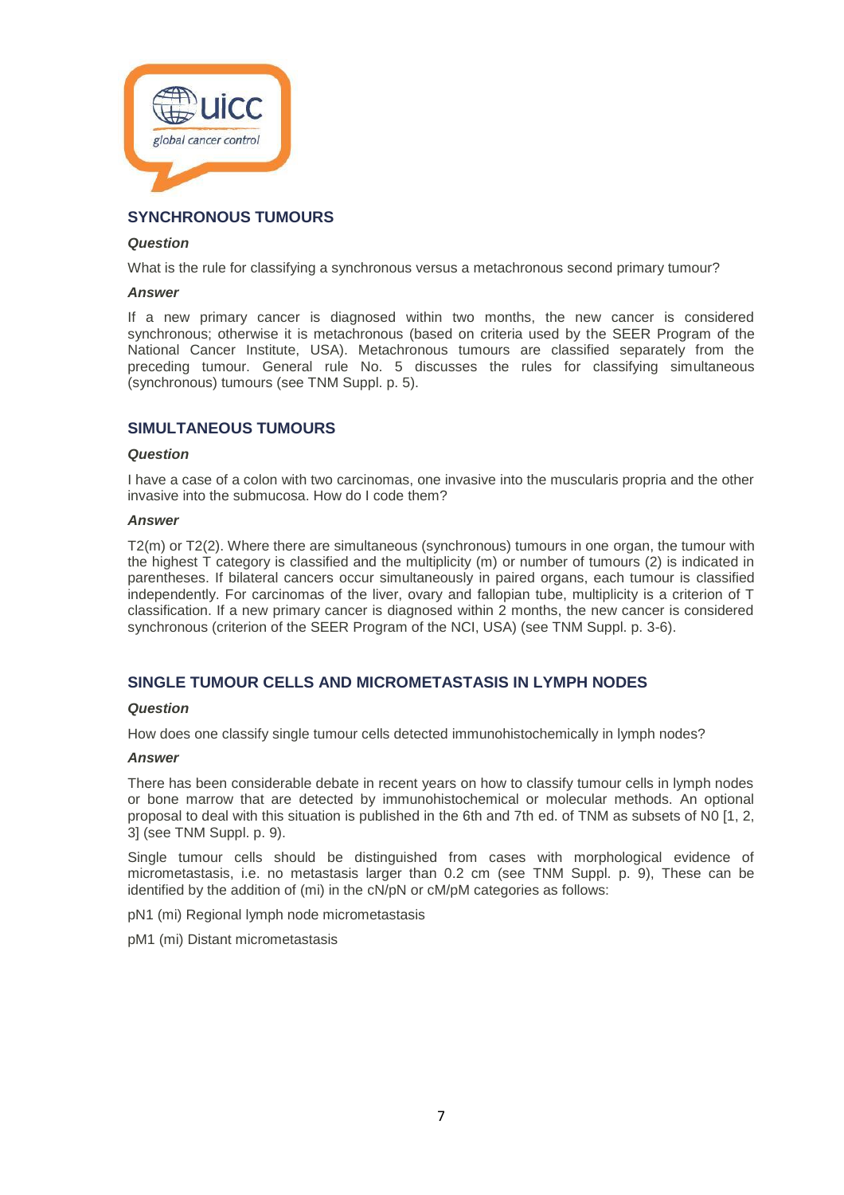

# **SYNCHRONOUS TUMOURS**

### *Question*

What is the rule for classifying a synchronous versus a metachronous second primary tumour?

#### *Answer*

If a new primary cancer is diagnosed within two months, the new cancer is considered synchronous; otherwise it is metachronous (based on criteria used by the SEER Program of the National Cancer Institute, USA). Metachronous tumours are classified separately from the preceding tumour. General rule No. 5 discusses the rules for classifying simultaneous (synchronous) tumours (see TNM Suppl. p. 5).

# **SIMULTANEOUS TUMOURS**

#### *Question*

I have a case of a colon with two carcinomas, one invasive into the muscularis propria and the other invasive into the submucosa. How do I code them?

# *Answer*

T2(m) or T2(2). Where there are simultaneous (synchronous) tumours in one organ, the tumour with the highest T category is classified and the multiplicity (m) or number of tumours (2) is indicated in parentheses. If bilateral cancers occur simultaneously in paired organs, each tumour is classified independently. For carcinomas of the liver, ovary and fallopian tube, multiplicity is a criterion of T classification. If a new primary cancer is diagnosed within 2 months, the new cancer is considered synchronous (criterion of the SEER Program of the NCI, USA) (see TNM Suppl. p. 3-6).

# **SINGLE TUMOUR CELLS AND MICROMETASTASIS IN LYMPH NODES**

# *Question*

How does one classify single tumour cells detected immunohistochemically in lymph nodes?

#### *Answer*

There has been considerable debate in recent years on how to classify tumour cells in lymph nodes or bone marrow that are detected by immunohistochemical or molecular methods. An optional proposal to deal with this situation is published in the 6th and 7th ed. of TNM as subsets of N0 [1, 2, 3] (see TNM Suppl. p. 9).

Single tumour cells should be distinguished from cases with morphological evidence of micrometastasis, i.e. no metastasis larger than 0.2 cm (see TNM Suppl. p. 9), These can be identified by the addition of (mi) in the cN/pN or cM/pM categories as follows:

pN1 (mi) Regional lymph node micrometastasis

pM1 (mi) Distant micrometastasis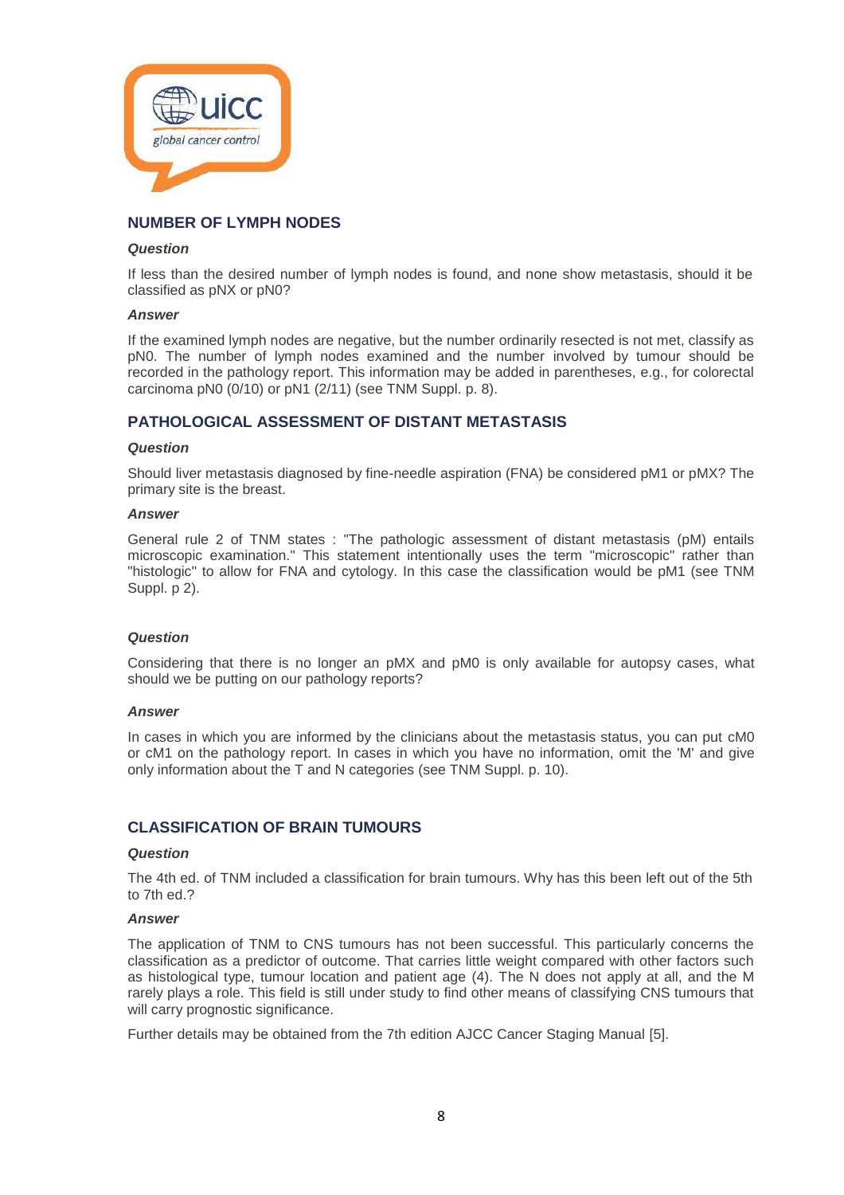

# **NUMBER OF LYMPH NODES**

#### *Question*

If less than the desired number of lymph nodes is found, and none show metastasis, should it be classified as pNX or pN0?

# *Answer*

If the examined lymph nodes are negative, but the number ordinarily resected is not met, classify as pN0. The number of lymph nodes examined and the number involved by tumour should be recorded in the pathology report. This information may be added in parentheses, e.g., for colorectal carcinoma pN0 (0/10) or pN1 (2/11) (see TNM Suppl. p. 8).

# **PATHOLOGICAL ASSESSMENT OF DISTANT METASTASIS**

#### *Question*

Should liver metastasis diagnosed by fine-needle aspiration (FNA) be considered pM1 or pMX? The primary site is the breast.

#### *Answer*

General rule 2 of TNM states : "The pathologic assessment of distant metastasis (pM) entails microscopic examination." This statement intentionally uses the term "microscopic" rather than "histologic" to allow for FNA and cytology. In this case the classification would be pM1 (see TNM Suppl. p 2).

#### *Question*

Considering that there is no longer an pMX and pM0 is only available for autopsy cases, what should we be putting on our pathology reports?

#### *Answer*

In cases in which you are informed by the clinicians about the metastasis status, you can put cM0 or cM1 on the pathology report. In cases in which you have no information, omit the 'M' and give only information about the T and N categories (see TNM Suppl. p. 10).

# **CLASSIFICATION OF BRAIN TUMOURS**

#### *Question*

The 4th ed. of TNM included a classification for brain tumours. Why has this been left out of the 5th to 7th ed.?

#### *Answer*

The application of TNM to CNS tumours has not been successful. This particularly concerns the classification as a predictor of outcome. That carries little weight compared with other factors such as histological type, tumour location and patient age (4). The N does not apply at all, and the M rarely plays a role. This field is still under study to find other means of classifying CNS tumours that will carry prognostic significance.

Further details may be obtained from the 7th edition AJCC Cancer Staging Manual [5].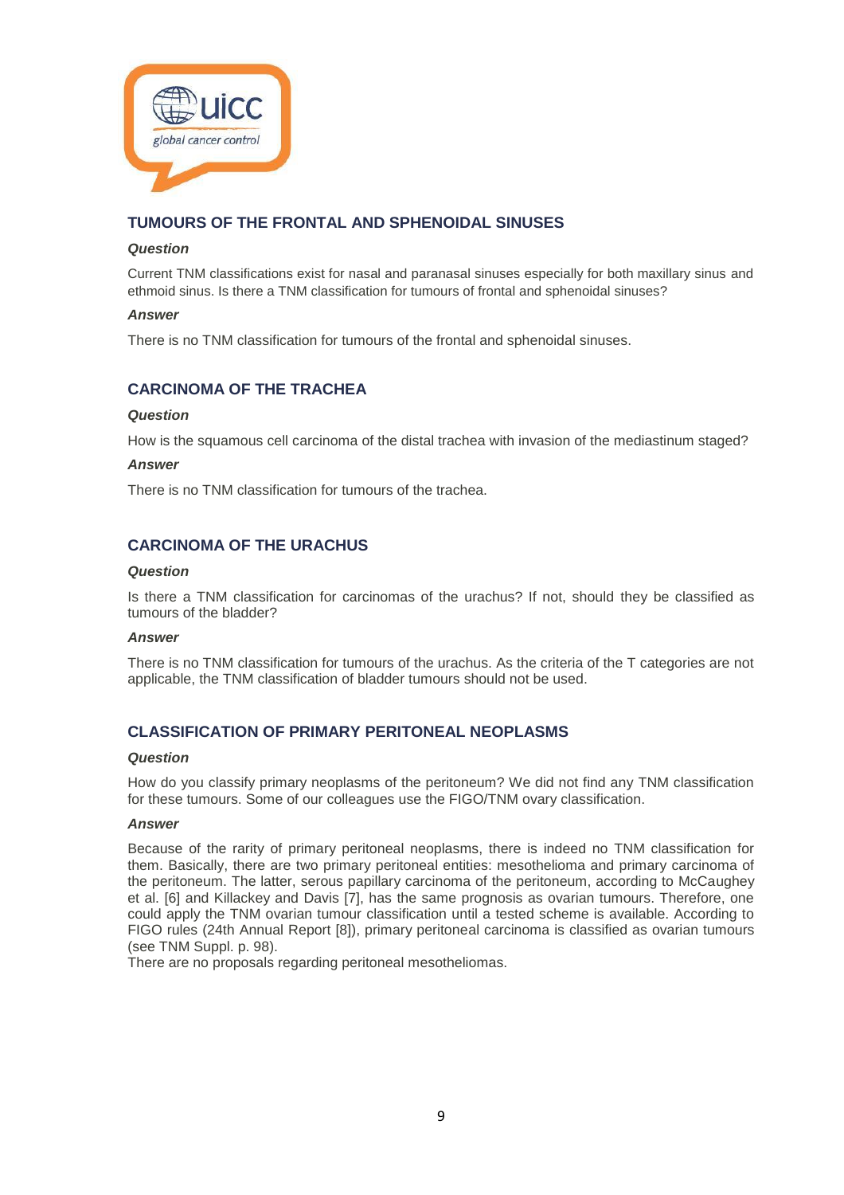

# **TUMOURS OF THE FRONTAL AND SPHENOIDAL SINUSES**

# *Question*

Current TNM classifications exist for nasal and paranasal sinuses especially for both maxillary sinus and ethmoid sinus. Is there a TNM classification for tumours of frontal and sphenoidal sinuses?

# *Answer*

There is no TNM classification for tumours of the frontal and sphenoidal sinuses.

# **CARCINOMA OF THE TRACHEA**

#### *Question*

How is the squamous cell carcinoma of the distal trachea with invasion of the mediastinum staged?

# *Answer*

There is no TNM classification for tumours of the trachea.

# **CARCINOMA OF THE URACHUS**

#### *Question*

Is there a TNM classification for carcinomas of the urachus? If not, should they be classified as tumours of the bladder?

#### *Answer*

There is no TNM classification for tumours of the urachus. As the criteria of the T categories are not applicable, the TNM classification of bladder tumours should not be used.

# **CLASSIFICATION OF PRIMARY PERITONEAL NEOPLASMS**

#### *Question*

How do you classify primary neoplasms of the peritoneum? We did not find any TNM classification for these tumours. Some of our colleagues use the FIGO/TNM ovary classification.

#### *Answer*

Because of the rarity of primary peritoneal neoplasms, there is indeed no TNM classification for them. Basically, there are two primary peritoneal entities: mesothelioma and primary carcinoma of the peritoneum. The latter, serous papillary carcinoma of the peritoneum, according to McCaughey et al. [6] and Killackey and Davis [7], has the same prognosis as ovarian tumours. Therefore, one could apply the TNM ovarian tumour classification until a tested scheme is available. According to FIGO rules (24th Annual Report [8]), primary peritoneal carcinoma is classified as ovarian tumours (see TNM Suppl. p. 98).

There are no proposals regarding peritoneal mesotheliomas.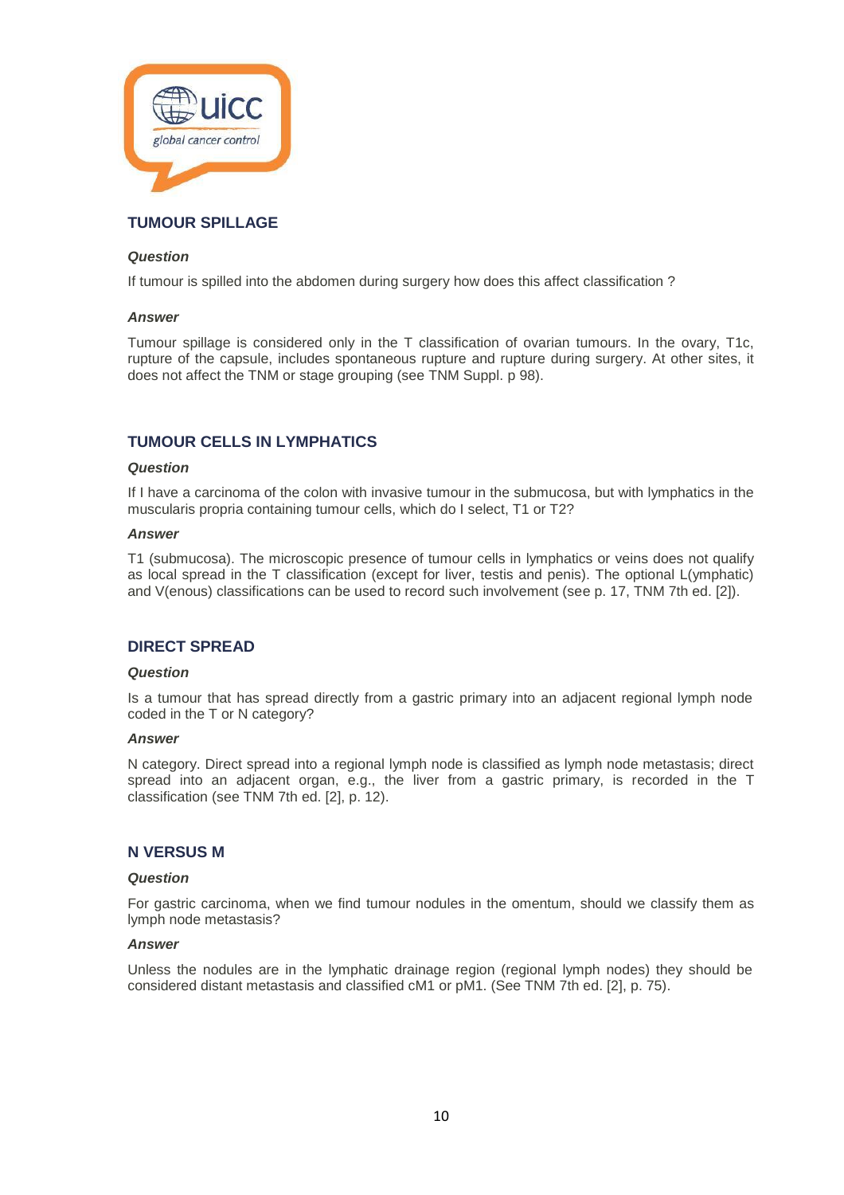

# **TUMOUR SPILLAGE**

# *Question*

If tumour is spilled into the abdomen during surgery how does this affect classification ?

# *Answer*

Tumour spillage is considered only in the T classification of ovarian tumours. In the ovary, T1c, rupture of the capsule, includes spontaneous rupture and rupture during surgery. At other sites, it does not affect the TNM or stage grouping (see TNM Suppl. p 98).

# **TUMOUR CELLS IN LYMPHATICS**

#### *Question*

If I have a carcinoma of the colon with invasive tumour in the submucosa, but with lymphatics in the muscularis propria containing tumour cells, which do I select, T1 or T2?

#### *Answer*

T1 (submucosa). The microscopic presence of tumour cells in lymphatics or veins does not qualify as local spread in the T classification (except for liver, testis and penis). The optional L(ymphatic) and V(enous) classifications can be used to record such involvement (see p. 17, TNM 7th ed. [2]).

# **DIRECT SPREAD**

#### *Question*

Is a tumour that has spread directly from a gastric primary into an adjacent regional lymph node coded in the T or N category?

#### *Answer*

N category. Direct spread into a regional lymph node is classified as lymph node metastasis; direct spread into an adjacent organ, e.g., the liver from a gastric primary, is recorded in the T classification (see TNM 7th ed. [2], p. 12).

# **N VERSUS M**

#### *Question*

For gastric carcinoma, when we find tumour nodules in the omentum, should we classify them as lymph node metastasis?

# *Answer*

Unless the nodules are in the lymphatic drainage region (regional lymph nodes) they should be considered distant metastasis and classified cM1 or pM1. (See TNM 7th ed. [2], p. 75).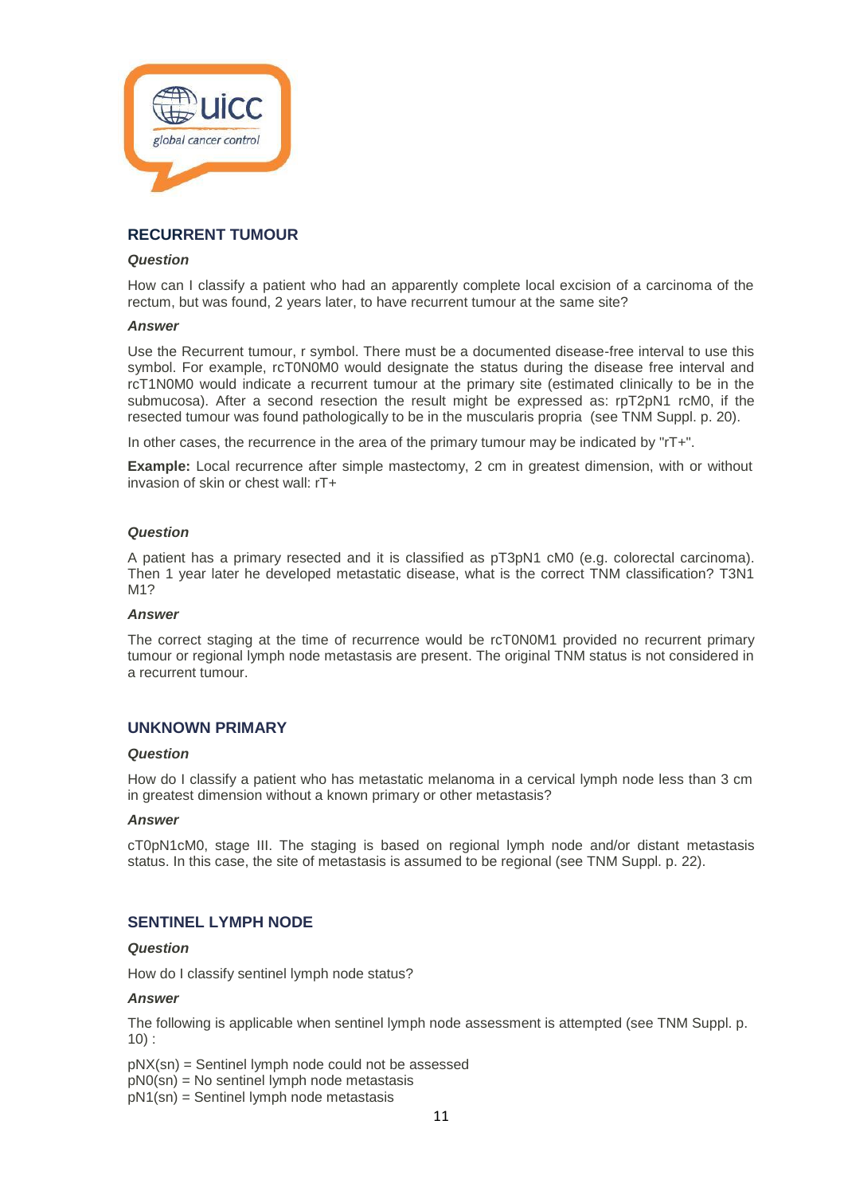

# **RECURRENT TUMOUR**

#### *Question*

How can I classify a patient who had an apparently complete local excision of a carcinoma of the rectum, but was found, 2 years later, to have recurrent tumour at the same site?

#### *Answer*

Use the Recurrent tumour, r symbol. There must be a documented disease-free interval to use this symbol. For example, rcT0N0M0 would designate the status during the disease free interval and rcT1N0M0 would indicate a recurrent tumour at the primary site (estimated clinically to be in the submucosa). After a second resection the result might be expressed as: rpT2pN1 rcM0, if the resected tumour was found pathologically to be in the muscularis propria (see TNM Suppl. p. 20).

In other cases, the recurrence in the area of the primary tumour may be indicated by "rT+".

**Example:** Local recurrence after simple mastectomy, 2 cm in greatest dimension, with or without invasion of skin or chest wall: rT+

#### *Question*

A patient has a primary resected and it is classified as pT3pN1 cM0 (e.g. colorectal carcinoma). Then 1 year later he developed metastatic disease, what is the correct TNM classification? T3N1 M1?

#### *Answer*

The correct staging at the time of recurrence would be rcT0N0M1 provided no recurrent primary tumour or regional lymph node metastasis are present. The original TNM status is not considered in a recurrent tumour.

# **UNKNOWN PRIMARY**

#### *Question*

How do I classify a patient who has metastatic melanoma in a cervical lymph node less than 3 cm in greatest dimension without a known primary or other metastasis?

## *Answer*

cT0pN1cM0, stage III. The staging is based on regional lymph node and/or distant metastasis status. In this case, the site of metastasis is assumed to be regional (see TNM Suppl. p. 22).

# **SENTINEL LYMPH NODE**

# *Question*

How do I classify sentinel lymph node status?

#### *Answer*

The following is applicable when sentinel lymph node assessment is attempted (see TNM Suppl. p. 10) :

pNX(sn) = Sentinel lymph node could not be assessed

 $pN0(\text{sn}) = N0$  sentinel lymph node metastasis

pN1(sn) = Sentinel lymph node metastasis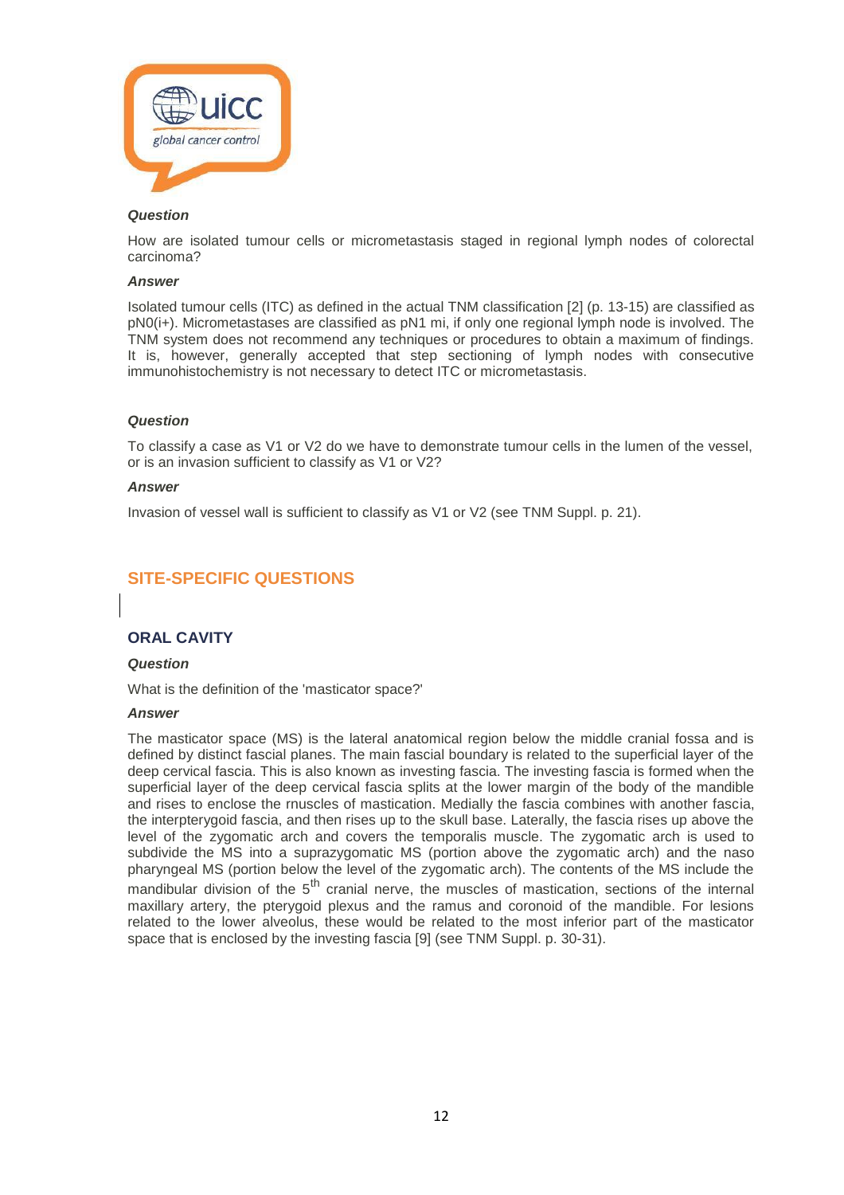

How are isolated tumour cells or micrometastasis staged in regional lymph nodes of colorectal carcinoma?

#### *Answer*

Isolated tumour cells (ITC) as defined in the actual TNM classification [2] (p. 13-15) are classified as pN0(i+). Micrometastases are classified as pN1 mi, if only one regional lymph node is involved. The TNM system does not recommend any techniques or procedures to obtain a maximum of findings. It is, however, generally accepted that step sectioning of lymph nodes with consecutive immunohistochemistry is not necessary to detect ITC or micrometastasis.

# *Question*

To classify a case as V1 or V2 do we have to demonstrate tumour cells in the lumen of the vessel, or is an invasion sufficient to classify as V1 or V2?

#### *Answer*

Invasion of vessel wall is sufficient to classify as V1 or V2 (see TNM Suppl. p. 21).

# **SITE-SPECIFIC QUESTIONS**

# **ORAL CAVITY**

#### *Question*

What is the definition of the 'masticator space?'

#### *Answer*

The masticator space (MS) is the lateral anatomical region below the middle cranial fossa and is defined by distinct fascial planes. The main fascial boundary is related to the superficial layer of the deep cervical fascia. This is also known as investing fascia. The investing fascia is formed when the superficial layer of the deep cervical fascia splits at the lower margin of the body of the mandible and rises to enclose the rnuscles of mastication. Medially the fascia combines with another fascia, the interpterygoid fascia, and then rises up to the skull base. Laterally, the fascia rises up above the level of the zygomatic arch and covers the temporalis muscle. The zygomatic arch is used to subdivide the MS into a suprazygomatic MS (portion above the zygomatic arch) and the naso pharyngeal MS (portion below the level of the zygomatic arch). The contents of the MS include the mandibular division of the 5<sup>th</sup> cranial nerve, the muscles of mastication, sections of the internal maxillary artery, the pterygoid plexus and the ramus and coronoid of the mandible. For lesions related to the lower alveolus, these would be related to the most inferior part of the masticator space that is enclosed by the investing fascia [9] (see TNM Suppl. p. 30-31).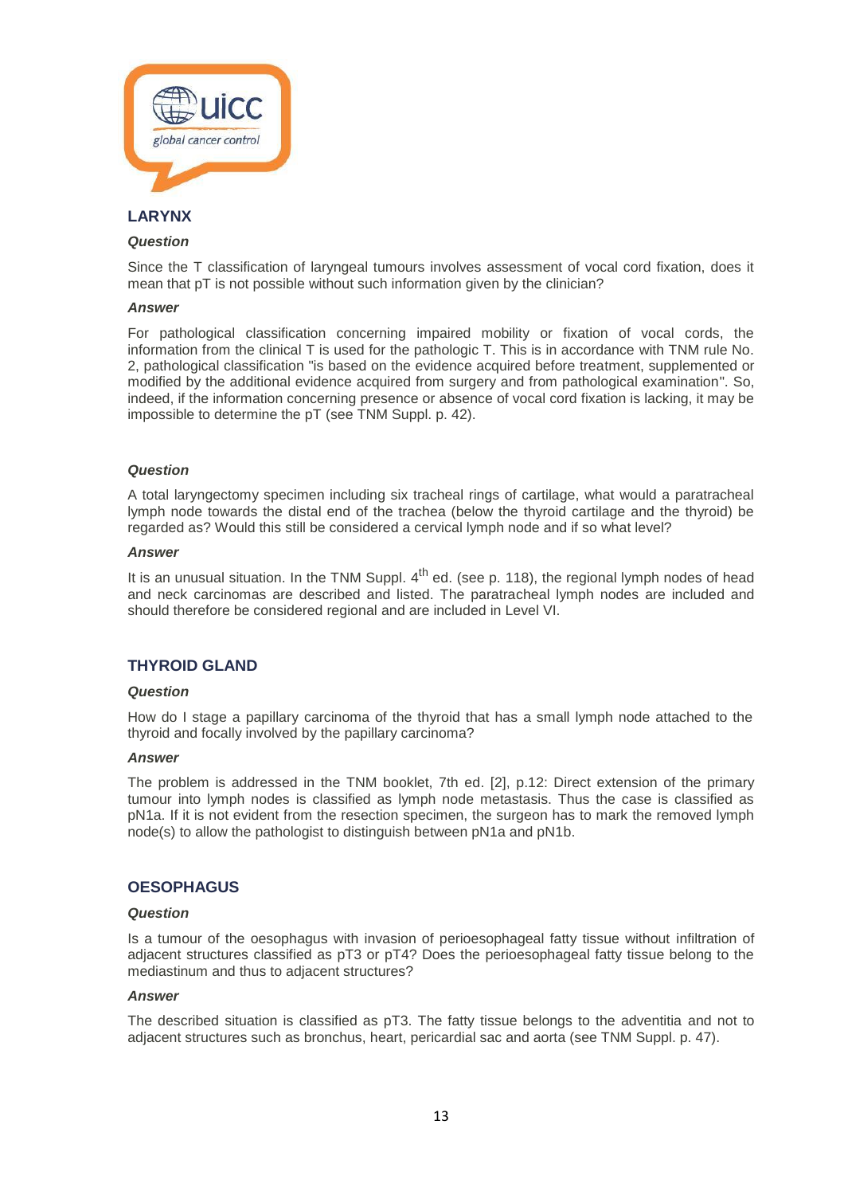

# **LARYNX**

# *Question*

Since the T classification of laryngeal tumours involves assessment of vocal cord fixation, does it mean that pT is not possible without such information given by the clinician?

#### *Answer*

For pathological classification concerning impaired mobility or fixation of vocal cords, the information from the clinical T is used for the pathologic T. This is in accordance with TNM rule No. 2, pathological classification "is based on the evidence acquired before treatment, supplemented or modified by the additional evidence acquired from surgery and from pathological examination". So, indeed, if the information concerning presence or absence of vocal cord fixation is lacking, it may be impossible to determine the pT (see TNM Suppl. p. 42).

#### *Question*

A total laryngectomy specimen including six tracheal rings of cartilage, what would a paratracheal lymph node towards the distal end of the trachea (below the thyroid cartilage and the thyroid) be regarded as? Would this still be considered a cervical lymph node and if so what level?

#### *Answer*

It is an unusual situation. In the TNM Suppl. 4<sup>th</sup> ed. (see p. 118), the regional lymph nodes of head and neck carcinomas are described and listed. The paratracheal lymph nodes are included and should therefore be considered regional and are included in Level VI.

# **THYROID GLAND**

#### *Question*

How do I stage a papillary carcinoma of the thyroid that has a small lymph node attached to the thyroid and focally involved by the papillary carcinoma?

#### *Answer*

The problem is addressed in the TNM booklet, 7th ed. [2], p.12: Direct extension of the primary tumour into lymph nodes is classified as lymph node metastasis. Thus the case is classified as pN1a. If it is not evident from the resection specimen, the surgeon has to mark the removed lymph node(s) to allow the pathologist to distinguish between pN1a and pN1b.

# **OESOPHAGUS**

#### *Question*

Is a tumour of the oesophagus with invasion of perioesophageal fatty tissue without infiltration of adjacent structures classified as pT3 or pT4? Does the perioesophageal fatty tissue belong to the mediastinum and thus to adjacent structures?

#### *Answer*

The described situation is classified as pT3. The fatty tissue belongs to the adventitia and not to adjacent structures such as bronchus, heart, pericardial sac and aorta (see TNM Suppl. p. 47).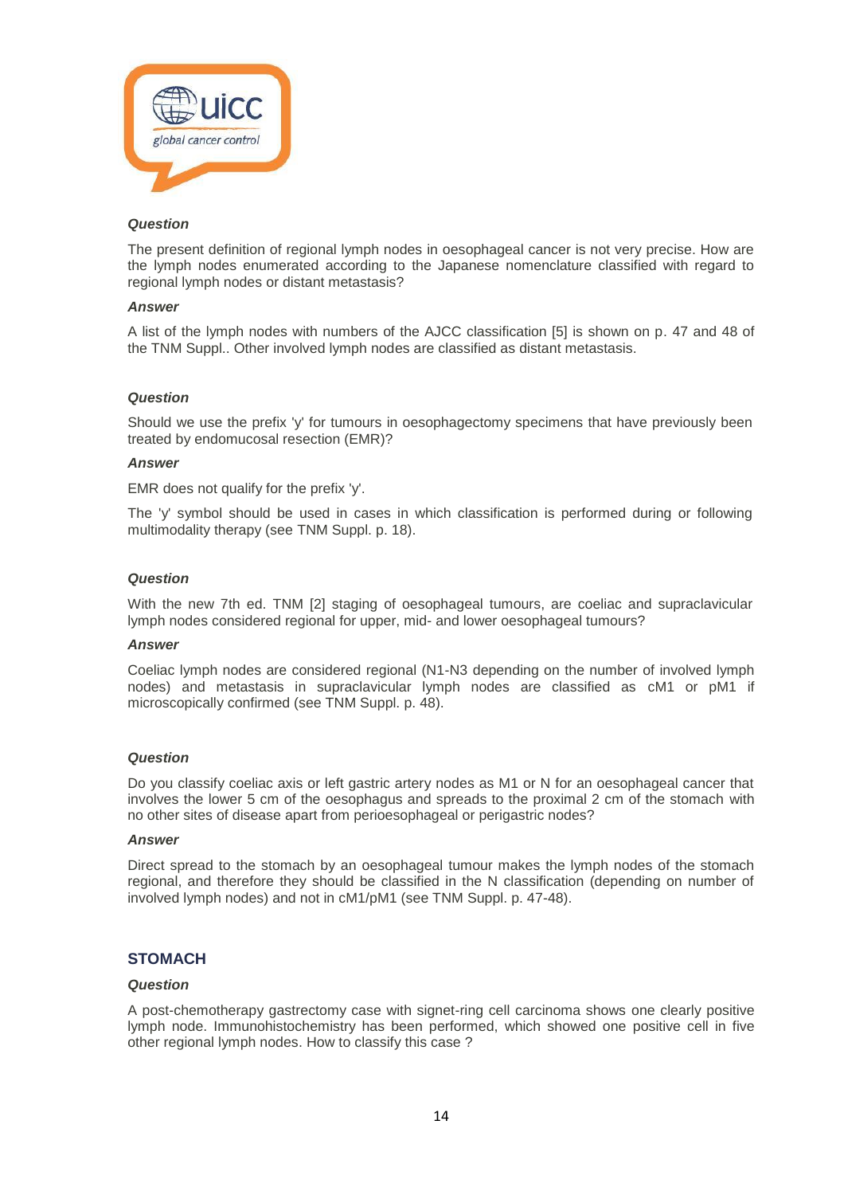

The present definition of regional lymph nodes in oesophageal cancer is not very precise. How are the lymph nodes enumerated according to the Japanese nomenclature classified with regard to regional lymph nodes or distant metastasis?

#### *Answer*

A list of the lymph nodes with numbers of the AJCC classification [5] is shown on p. 47 and 48 of the TNM Suppl.. Other involved lymph nodes are classified as distant metastasis.

# *Question*

Should we use the prefix 'y' for tumours in oesophagectomy specimens that have previously been treated by endomucosal resection (EMR)?

#### *Answer*

EMR does not qualify for the prefix 'y'.

The 'y' symbol should be used in cases in which classification is performed during or following multimodality therapy (see TNM Suppl. p. 18).

#### *Question*

With the new 7th ed. TNM [2] staging of oesophageal tumours, are coeliac and supraclavicular lymph nodes considered regional for upper, mid- and lower oesophageal tumours?

#### *Answer*

Coeliac lymph nodes are considered regional (N1-N3 depending on the number of involved lymph nodes) and metastasis in supraclavicular lymph nodes are classified as cM1 or pM1 if microscopically confirmed (see TNM Suppl. p. 48).

#### *Question*

Do you classify coeliac axis or left gastric artery nodes as M1 or N for an oesophageal cancer that involves the lower 5 cm of the oesophagus and spreads to the proximal 2 cm of the stomach with no other sites of disease apart from perioesophageal or perigastric nodes?

#### *Answer*

Direct spread to the stomach by an oesophageal tumour makes the lymph nodes of the stomach regional, and therefore they should be classified in the N classification (depending on number of involved lymph nodes) and not in cM1/pM1 (see TNM Suppl. p. 47-48).

# **STOMACH**

#### *Question*

A post-chemotherapy gastrectomy case with signet-ring cell carcinoma shows one clearly positive lymph node. Immunohistochemistry has been performed, which showed one positive cell in five other regional lymph nodes. How to classify this case ?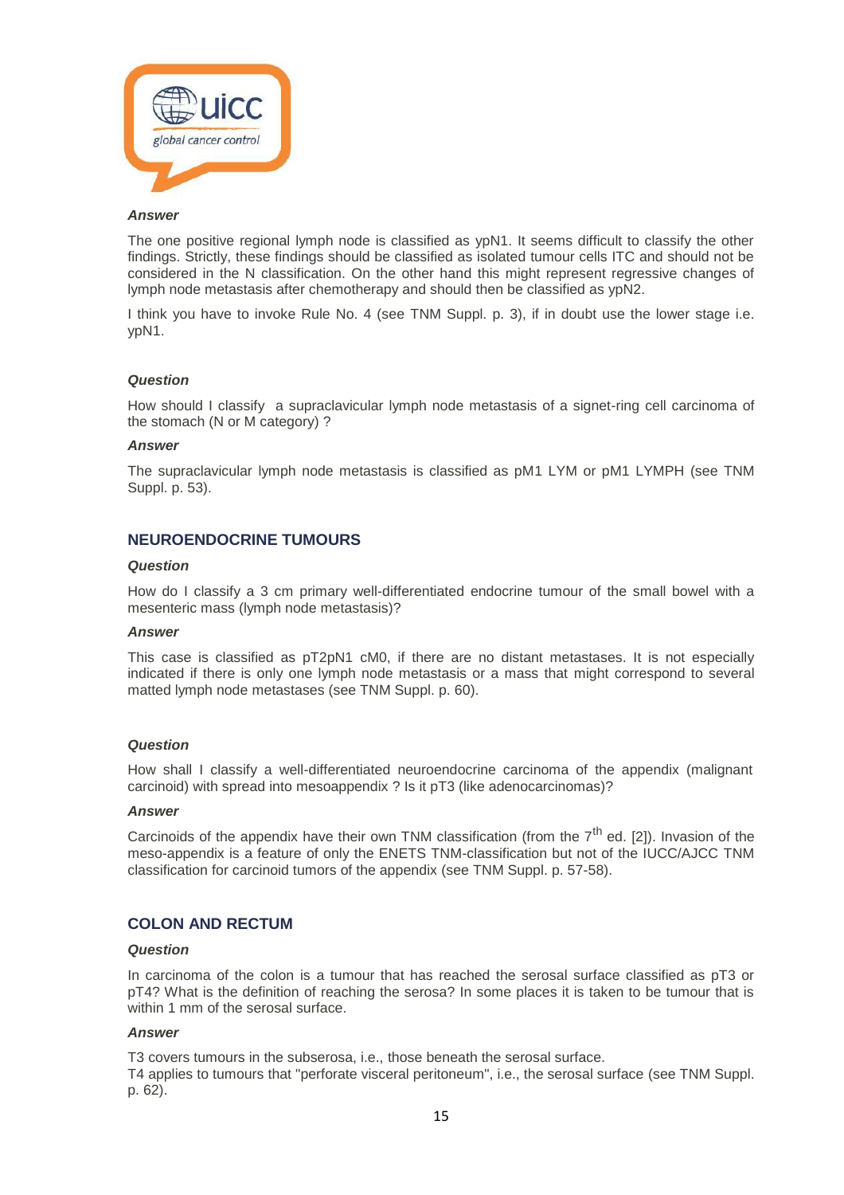

The one positive regional lymph node is classified as ypN1. It seems difficult to classify the other findings. Strictly, these findings should be classified as isolated tumour cells ITC and should not be considered in the N classification. On the other hand this might represent regressive changes of lymph node metastasis after chemotherapy and should then be classified as ypN2.

I think you have to invoke Rule No. 4 (see TNM Suppl. p. 3), if in doubt use the lower stage i.e. ypN1.

#### *Question*

How should I classify a supraclavicular lymph node metastasis of a signet-ring cell carcinoma of the stomach (N or M category) ?

#### *Answer*

The supraclavicular lymph node metastasis is classified as pM1 LYM or pM1 LYMPH (see TNM Suppl. p. 53).

# **NEUROENDOCRINE TUMOURS**

#### *Question*

How do I classify a 3 cm primary well-differentiated endocrine tumour of the small bowel with a mesenteric mass (lymph node metastasis)?

#### *Answer*

This case is classified as pT2pN1 cM0, if there are no distant metastases. It is not especially indicated if there is only one lymph node metastasis or a mass that might correspond to several matted lymph node metastases (see TNM Suppl. p. 60).

#### *Question*

How shall I classify a well-differentiated neuroendocrine carcinoma of the appendix (malignant carcinoid) with spread into mesoappendix ? Is it pT3 (like adenocarcinomas)?

#### *Answer*

Carcinoids of the appendix have their own TNM classification (from the  $7<sup>th</sup>$  ed. [2]). Invasion of the meso-appendix is a feature of only the ENETS TNM-classification but not of the IUCC/AJCC TNM classification for carcinoid tumors of the appendix (see TNM Suppl. p. 57-58).

# **COLON AND RECTUM**

#### *Question*

In carcinoma of the colon is a tumour that has reached the serosal surface classified as pT3 or pT4? What is the definition of reaching the serosa? In some places it is taken to be tumour that is within 1 mm of the serosal surface.

# *Answer*

T3 covers tumours in the subserosa, i.e., those beneath the serosal surface.

T4 applies to tumours that "perforate visceral peritoneum", i.e., the serosal surface (see TNM Suppl. p. 62).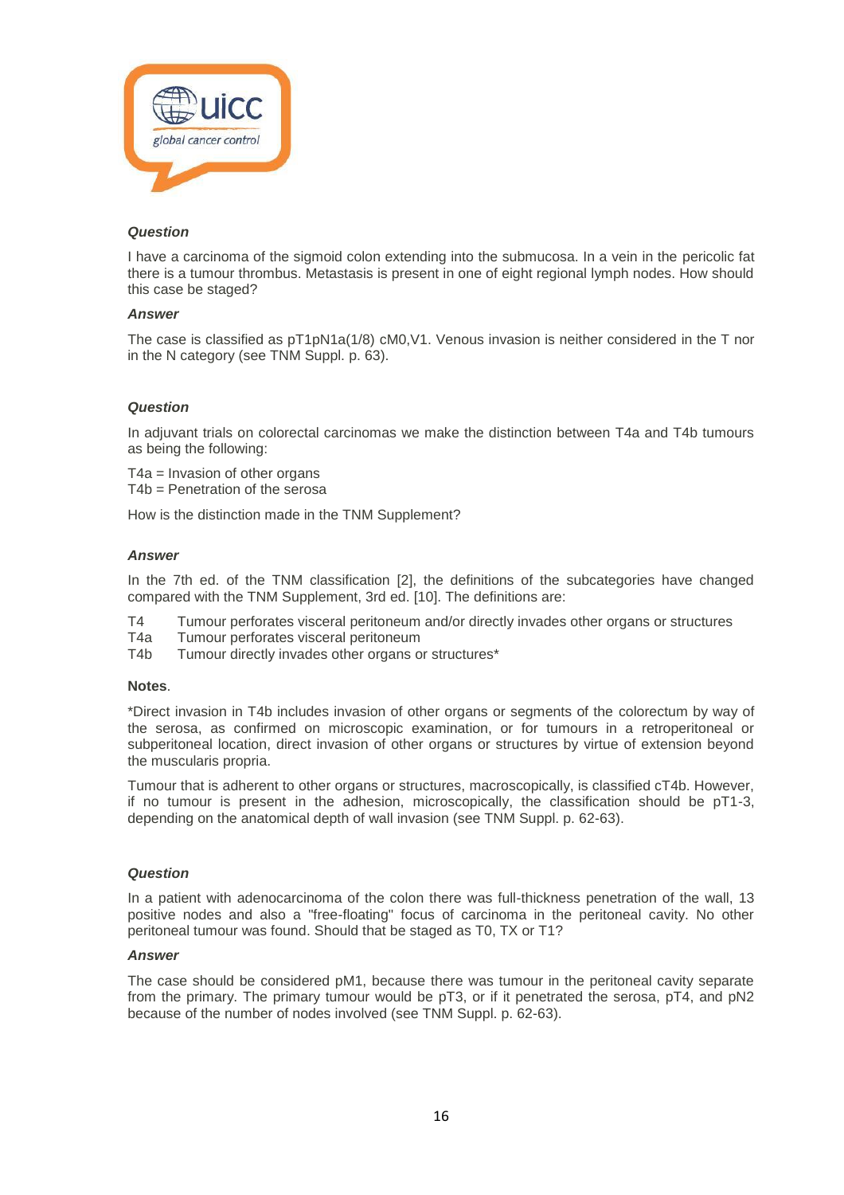

I have a carcinoma of the sigmoid colon extending into the submucosa. In a vein in the pericolic fat there is a tumour thrombus. Metastasis is present in one of eight regional lymph nodes. How should this case be staged?

# *Answer*

The case is classified as pT1pN1a(1/8) cM0,V1. Venous invasion is neither considered in the T nor in the N category (see TNM Suppl. p. 63).

# *Question*

In adjuvant trials on colorectal carcinomas we make the distinction between T4a and T4b tumours as being the following:

T4a = Invasion of other organs T4b = Penetration of the serosa

How is the distinction made in the TNM Supplement?

### *Answer*

In the 7th ed. of the TNM classification [2], the definitions of the subcategories have changed compared with the TNM Supplement, 3rd ed. [10]. The definitions are:

- T4 Tumour perforates visceral peritoneum and/or directly invades other organs or structures
- T4a Tumour perforates visceral peritoneum<br>T4b Tumour directly invades other organs o
- Tumour directly invades other organs or structures\*

#### **Notes**.

\*Direct invasion in T4b includes invasion of other organs or segments of the colorectum by way of the serosa, as confirmed on microscopic examination, or for tumours in a retroperitoneal or subperitoneal location, direct invasion of other organs or structures by virtue of extension beyond the muscularis propria.

Tumour that is adherent to other organs or structures, macroscopically, is classified cT4b. However, if no tumour is present in the adhesion, microscopically, the classification should be pT1-3, depending on the anatomical depth of wall invasion (see TNM Suppl. p. 62-63).

#### *Question*

In a patient with adenocarcinoma of the colon there was full-thickness penetration of the wall, 13 positive nodes and also a "free-floating" focus of carcinoma in the peritoneal cavity. No other peritoneal tumour was found. Should that be staged as T0, TX or T1?

# *Answer*

The case should be considered pM1, because there was tumour in the peritoneal cavity separate from the primary. The primary tumour would be pT3, or if it penetrated the serosa, pT4, and pN2 because of the number of nodes involved (see TNM Suppl. p. 62-63).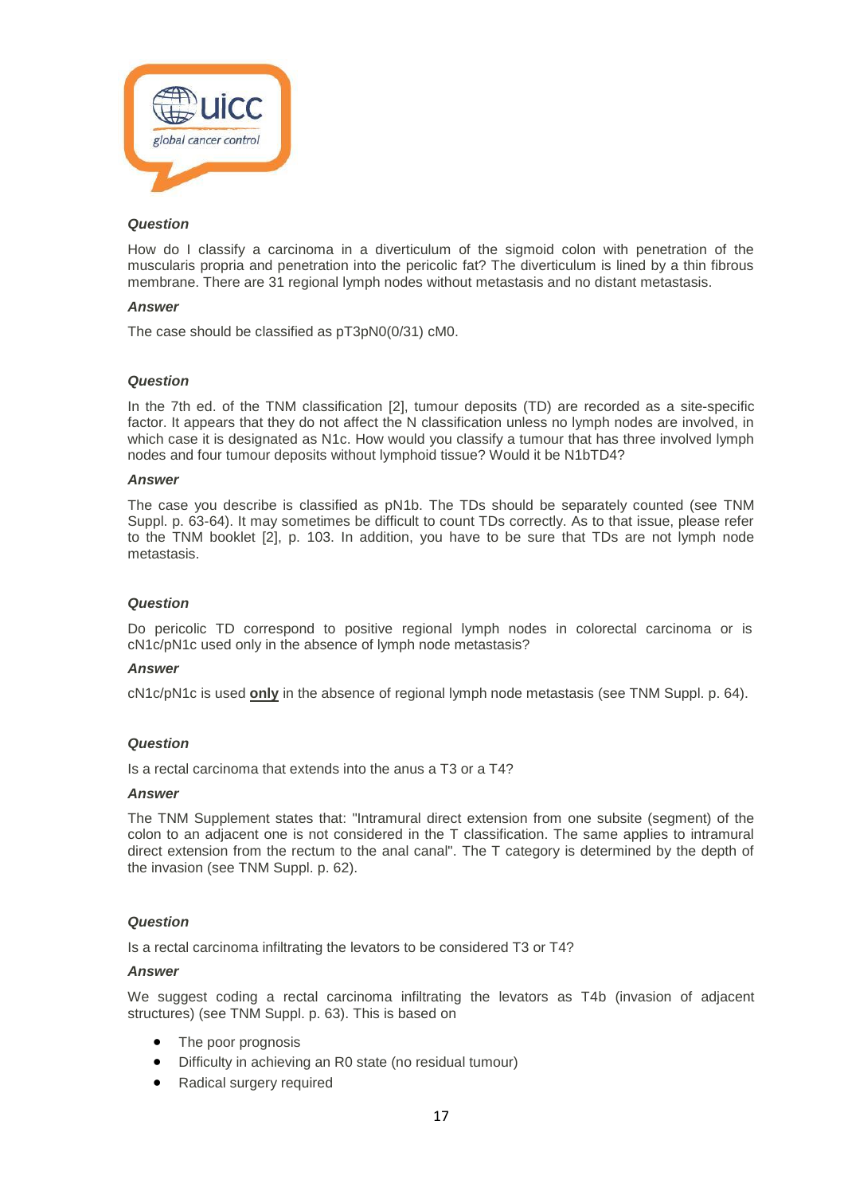

How do I classify a carcinoma in a diverticulum of the sigmoid colon with penetration of the muscularis propria and penetration into the pericolic fat? The diverticulum is lined by a thin fibrous membrane. There are 31 regional lymph nodes without metastasis and no distant metastasis.

#### *Answer*

The case should be classified as pT3pN0(0/31) cM0.

#### *Question*

In the 7th ed. of the TNM classification [2], tumour deposits (TD) are recorded as a site-specific factor. It appears that they do not affect the N classification unless no lymph nodes are involved, in which case it is designated as N1c. How would you classify a tumour that has three involved lymph nodes and four tumour deposits without lymphoid tissue? Would it be N1bTD4?

#### *Answer*

The case you describe is classified as pN1b. The TDs should be separately counted (see TNM Suppl. p. 63-64). It may sometimes be difficult to count TDs correctly. As to that issue, please refer to the TNM booklet [2], p. 103. In addition, you have to be sure that TDs are not lymph node metastasis.

#### *Question*

Do pericolic TD correspond to positive regional lymph nodes in colorectal carcinoma or is cN1c/pN1c used only in the absence of lymph node metastasis?

#### *Answer*

cN1c/pN1c is used **only** in the absence of regional lymph node metastasis (see TNM Suppl. p. 64).

## *Question*

Is a rectal carcinoma that extends into the anus a T3 or a T4?

#### *Answer*

The TNM Supplement states that: "Intramural direct extension from one subsite (segment) of the colon to an adjacent one is not considered in the T classification. The same applies to intramural direct extension from the rectum to the anal canal". The T category is determined by the depth of the invasion (see TNM Suppl. p. 62).

#### *Question*

Is a rectal carcinoma infiltrating the levators to be considered T3 or T4?

#### *Answer*

We suggest coding a rectal carcinoma infiltrating the levators as T4b (invasion of adjacent structures) (see TNM Suppl. p. 63). This is based on

- The poor prognosis
- Difficulty in achieving an R0 state (no residual tumour)
- Radical surgery required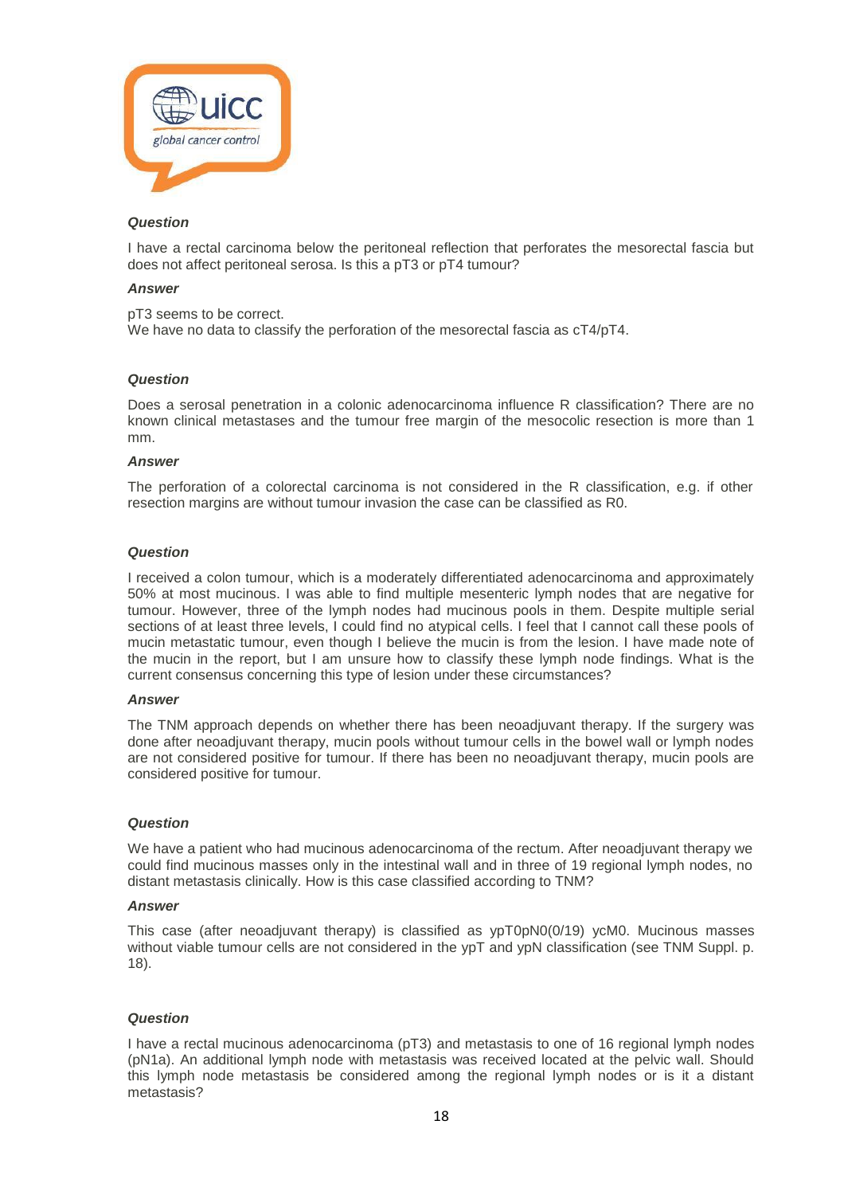

I have a rectal carcinoma below the peritoneal reflection that perforates the mesorectal fascia but does not affect peritoneal serosa. Is this a pT3 or pT4 tumour?

#### *Answer*

pT3 seems to be correct. We have no data to classify the perforation of the mesorectal fascia as  $cT4/pT4$ .

#### *Question*

Does a serosal penetration in a colonic adenocarcinoma influence R classification? There are no known clinical metastases and the tumour free margin of the mesocolic resection is more than 1 mm.

#### *Answer*

The perforation of a colorectal carcinoma is not considered in the R classification, e.g. if other resection margins are without tumour invasion the case can be classified as R0.

#### *Question*

I received a colon tumour, which is a moderately differentiated adenocarcinoma and approximately 50% at most mucinous. I was able to find multiple mesenteric lymph nodes that are negative for tumour. However, three of the lymph nodes had mucinous pools in them. Despite multiple serial sections of at least three levels, I could find no atypical cells. I feel that I cannot call these pools of mucin metastatic tumour, even though I believe the mucin is from the lesion. I have made note of the mucin in the report, but I am unsure how to classify these lymph node findings. What is the current consensus concerning this type of lesion under these circumstances?

#### *Answer*

The TNM approach depends on whether there has been neoadjuvant therapy. If the surgery was done after neoadjuvant therapy, mucin pools without tumour cells in the bowel wall or lymph nodes are not considered positive for tumour. If there has been no neoadjuvant therapy, mucin pools are considered positive for tumour.

#### *Question*

We have a patient who had mucinous adenocarcinoma of the rectum. After neoadjuvant therapy we could find mucinous masses only in the intestinal wall and in three of 19 regional lymph nodes, no distant metastasis clinically. How is this case classified according to TNM?

#### *Answer*

This case (after neoadjuvant therapy) is classified as ypT0pN0(0/19) ycM0. Mucinous masses without viable tumour cells are not considered in the ypT and ypN classification (see TNM Suppl. p. 18).

#### *Question*

I have a rectal mucinous adenocarcinoma (pT3) and metastasis to one of 16 regional lymph nodes (pN1a). An additional lymph node with metastasis was received located at the pelvic wall. Should this lymph node metastasis be considered among the regional lymph nodes or is it a distant metastasis?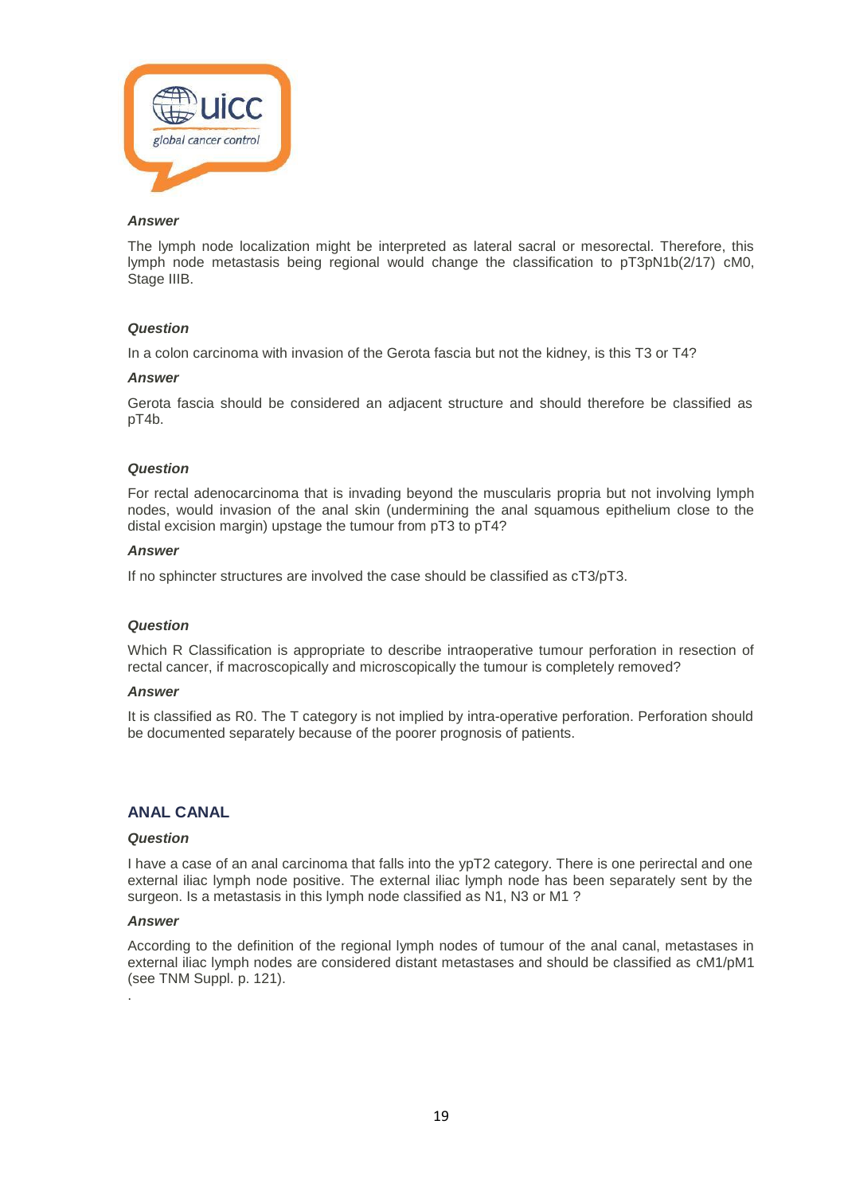

The lymph node localization might be interpreted as lateral sacral or mesorectal. Therefore, this lymph node metastasis being regional would change the classification to pT3pN1b(2/17) cM0, Stage IIIB.

#### *Question*

In a colon carcinoma with invasion of the Gerota fascia but not the kidney, is this T3 or T4?

#### *Answer*

Gerota fascia should be considered an adjacent structure and should therefore be classified as pT4b.

#### *Question*

For rectal adenocarcinoma that is invading beyond the muscularis propria but not involving lymph nodes, would invasion of the anal skin (undermining the anal squamous epithelium close to the distal excision margin) upstage the tumour from pT3 to pT4?

# *Answer*

If no sphincter structures are involved the case should be classified as cT3/pT3.

#### *Question*

Which R Classification is appropriate to describe intraoperative tumour perforation in resection of rectal cancer, if macroscopically and microscopically the tumour is completely removed?

#### *Answer*

It is classified as R0. The T category is not implied by intra-operative perforation. Perforation should be documented separately because of the poorer prognosis of patients.

# **ANAL CANAL**

#### *Question*

I have a case of an anal carcinoma that falls into the ypT2 category. There is one perirectal and one external iliac lymph node positive. The external iliac lymph node has been separately sent by the surgeon. Is a metastasis in this lymph node classified as N1, N3 or M1 ?

#### *Answer*

According to the definition of the regional lymph nodes of tumour of the anal canal, metastases in external iliac lymph nodes are considered distant metastases and should be classified as cM1/pM1 (see TNM Suppl. p. 121). .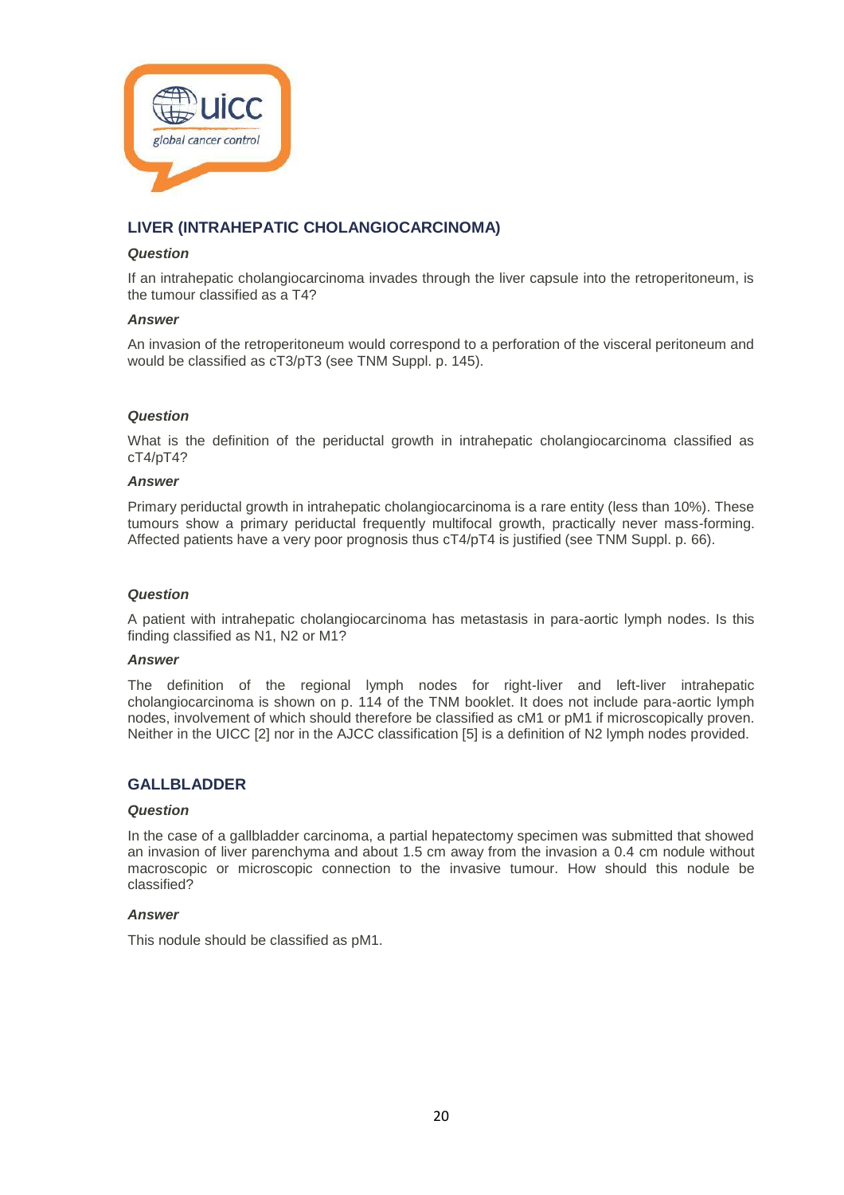

# **LIVER (INTRAHEPATIC CHOLANGIOCARCINOMA)**

### *Question*

If an intrahepatic cholangiocarcinoma invades through the liver capsule into the retroperitoneum, is the tumour classified as a T4?

## *Answer*

An invasion of the retroperitoneum would correspond to a perforation of the visceral peritoneum and would be classified as cT3/pT3 (see TNM Suppl. p. 145).

# *Question*

What is the definition of the periductal growth in intrahepatic cholangiocarcinoma classified as cT4/pT4?

#### *Answer*

Primary periductal growth in intrahepatic cholangiocarcinoma is a rare entity (less than 10%). These tumours show a primary periductal frequently multifocal growth, practically never mass-forming. Affected patients have a very poor prognosis thus cT4/pT4 is justified (see TNM Suppl. p. 66).

#### *Question*

A patient with intrahepatic cholangiocarcinoma has metastasis in para-aortic lymph nodes. Is this finding classified as N1, N2 or M1?

#### *Answer*

The definition of the regional lymph nodes for right-liver and left-liver intrahepatic cholangiocarcinoma is shown on p. 114 of the TNM booklet. It does not include para-aortic lymph nodes, involvement of which should therefore be classified as cM1 or pM1 if microscopically proven. Neither in the UICC [2] nor in the AJCC classification [5] is a definition of N2 lymph nodes provided.

# **GALLBLADDER**

#### *Question*

In the case of a gallbladder carcinoma, a partial hepatectomy specimen was submitted that showed an invasion of liver parenchyma and about 1.5 cm away from the invasion a 0.4 cm nodule without macroscopic or microscopic connection to the invasive tumour. How should this nodule be classified?

#### *Answer*

This nodule should be classified as pM1.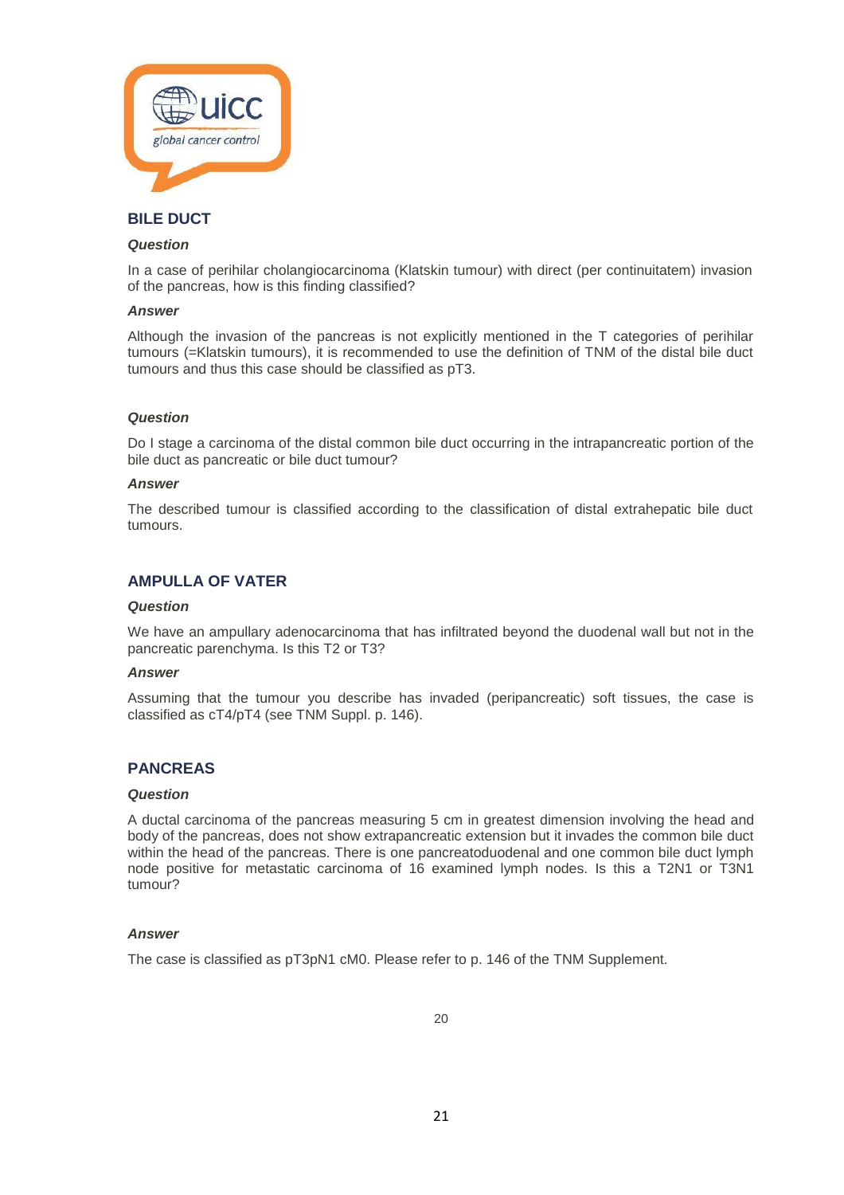

# **BILE DUCT**

#### *Question*

In a case of perihilar cholangiocarcinoma (Klatskin tumour) with direct (per continuitatem) invasion of the pancreas, how is this finding classified?

#### *Answer*

Although the invasion of the pancreas is not explicitly mentioned in the T categories of perihilar tumours (=Klatskin tumours), it is recommended to use the definition of TNM of the distal bile duct tumours and thus this case should be classified as pT3.

#### *Question*

Do I stage a carcinoma of the distal common bile duct occurring in the intrapancreatic portion of the bile duct as pancreatic or bile duct tumour?

#### *Answer*

The described tumour is classified according to the classification of distal extrahepatic bile duct tumours.

# **AMPULLA OF VATER**

#### *Question*

We have an ampullary adenocarcinoma that has infiltrated beyond the duodenal wall but not in the pancreatic parenchyma. Is this T2 or T3?

#### *Answer*

Assuming that the tumour you describe has invaded (peripancreatic) soft tissues, the case is classified as cT4/pT4 (see TNM Suppl. p. 146).

# **PANCREAS**

#### *Question*

A ductal carcinoma of the pancreas measuring 5 cm in greatest dimension involving the head and body of the pancreas, does not show extrapancreatic extension but it invades the common bile duct within the head of the pancreas. There is one pancreatoduodenal and one common bile duct lymph node positive for metastatic carcinoma of 16 examined lymph nodes. Is this a T2N1 or T3N1 tumour?

#### *Answer*

The case is classified as pT3pN1 cM0. Please refer to p. 146 of the TNM Supplement.

20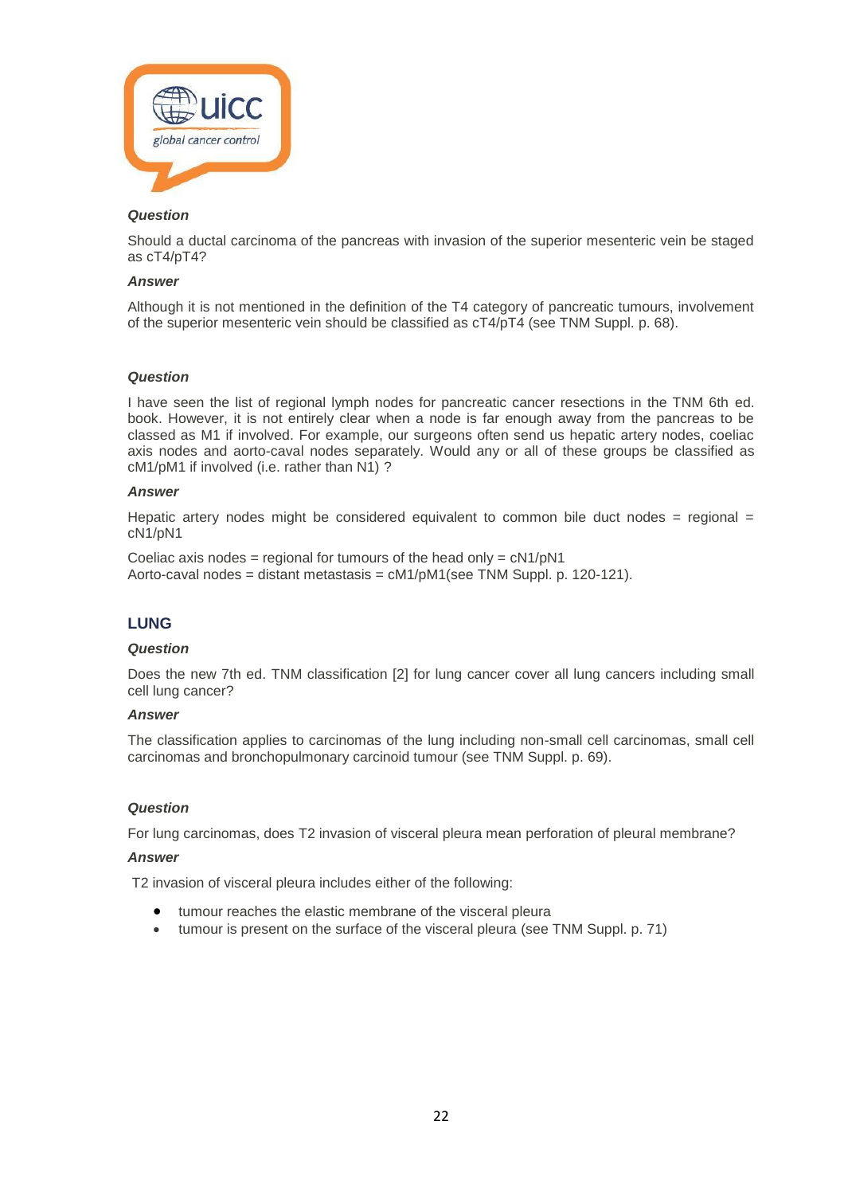

Should a ductal carcinoma of the pancreas with invasion of the superior mesenteric vein be staged as cT4/pT4?

# *Answer*

Although it is not mentioned in the definition of the T4 category of pancreatic tumours, involvement of the superior mesenteric vein should be classified as cT4/pT4 (see TNM Suppl. p. 68).

#### *Question*

I have seen the list of regional lymph nodes for pancreatic cancer resections in the TNM 6th ed. book. However, it is not entirely clear when a node is far enough away from the pancreas to be classed as M1 if involved. For example, our surgeons often send us hepatic artery nodes, coeliac axis nodes and aorto-caval nodes separately. Would any or all of these groups be classified as cM1/pM1 if involved (i.e. rather than N1) ?

#### *Answer*

Hepatic artery nodes might be considered equivalent to common bile duct nodes  $=$  regional  $=$ cN1/pN1

Coeliac axis nodes = regional for tumours of the head only =  $cN1/pN1$ Aorto-caval nodes = distant metastasis =  $cM1/pM1$ (see TNM Suppl. p. 120-121).

# **LUNG**

#### *Question*

Does the new 7th ed. TNM classification [2] for lung cancer cover all lung cancers including small cell lung cancer?

#### *Answer*

The classification applies to carcinomas of the lung including non-small cell carcinomas, small cell carcinomas and bronchopulmonary carcinoid tumour (see TNM Suppl. p. 69).

#### *Question*

For lung carcinomas, does T2 invasion of visceral pleura mean perforation of pleural membrane?

#### *Answer*

T2 invasion of visceral pleura includes either of the following:

- tumour reaches the elastic membrane of the visceral pleura
- tumour is present on the surface of the visceral pleura (see TNM Suppl. p. 71)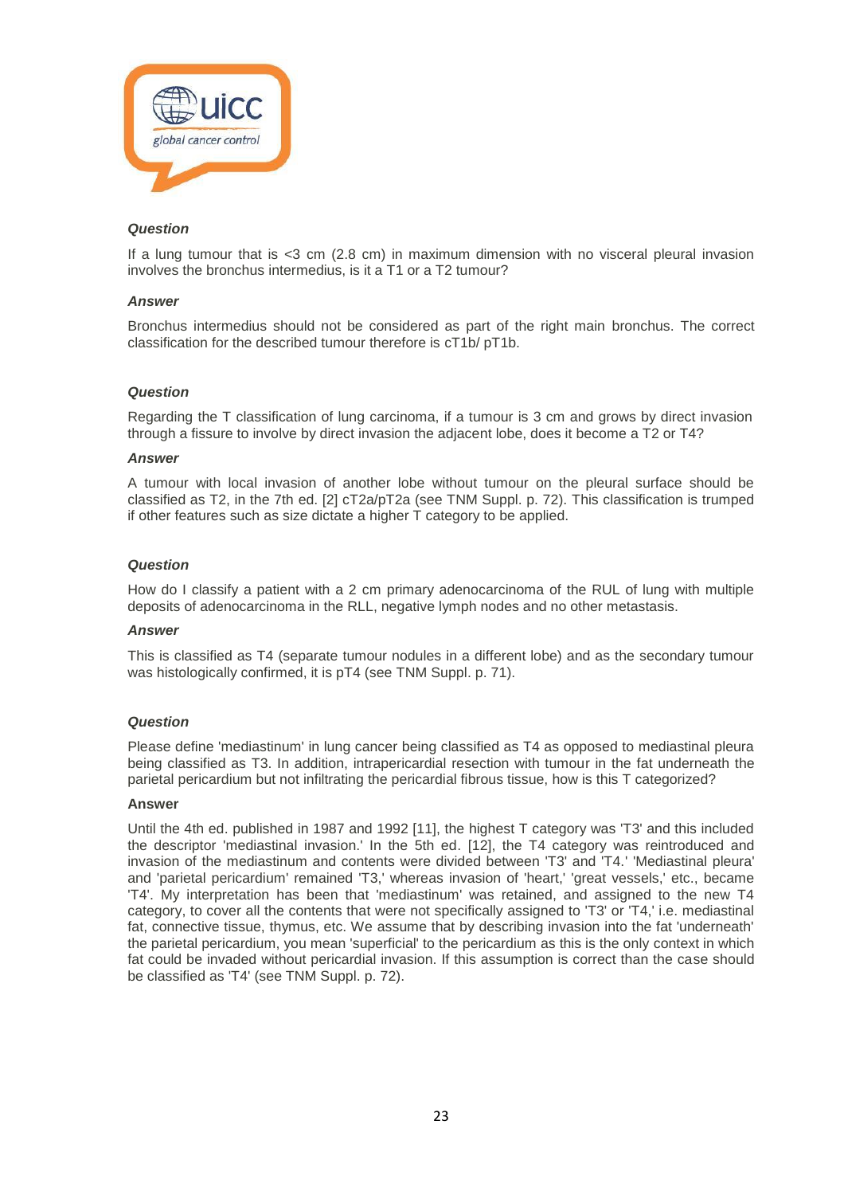

If a lung tumour that is <3 cm (2.8 cm) in maximum dimension with no visceral pleural invasion involves the bronchus intermedius, is it a T1 or a T2 tumour?

#### *Answer*

Bronchus intermedius should not be considered as part of the right main bronchus. The correct classification for the described tumour therefore is cT1b/ pT1b.

#### *Question*

Regarding the T classification of lung carcinoma, if a tumour is 3 cm and grows by direct invasion through a fissure to involve by direct invasion the adjacent lobe, does it become a T2 or T4?

#### *Answer*

A tumour with local invasion of another lobe without tumour on the pleural surface should be classified as T2, in the 7th ed. [2] cT2a/pT2a (see TNM Suppl. p. 72). This classification is trumped if other features such as size dictate a higher T category to be applied.

#### *Question*

How do I classify a patient with a 2 cm primary adenocarcinoma of the RUL of lung with multiple deposits of adenocarcinoma in the RLL, negative lymph nodes and no other metastasis.

#### *Answer*

This is classified as T4 (separate tumour nodules in a different lobe) and as the secondary tumour was histologically confirmed, it is pT4 (see TNM Suppl. p. 71).

#### *Question*

Please define 'mediastinum' in lung cancer being classified as T4 as opposed to mediastinal pleura being classified as T3. In addition, intrapericardial resection with tumour in the fat underneath the parietal pericardium but not infiltrating the pericardial fibrous tissue, how is this T categorized?

#### **Answer**

Until the 4th ed. published in 1987 and 1992 [11], the highest T category was 'T3' and this included the descriptor 'mediastinal invasion.' In the 5th ed. [12], the T4 category was reintroduced and invasion of the mediastinum and contents were divided between 'T3' and 'T4.' 'Mediastinal pleura' and 'parietal pericardium' remained 'T3,' whereas invasion of 'heart,' 'great vessels,' etc., became 'T4'. My interpretation has been that 'mediastinum' was retained, and assigned to the new T4 category, to cover all the contents that were not specifically assigned to 'T3' or 'T4,' i.e. mediastinal fat, connective tissue, thymus, etc. We assume that by describing invasion into the fat 'underneath' the parietal pericardium, you mean 'superficial' to the pericardium as this is the only context in which fat could be invaded without pericardial invasion. If this assumption is correct than the case should be classified as 'T4' (see TNM Suppl. p. 72).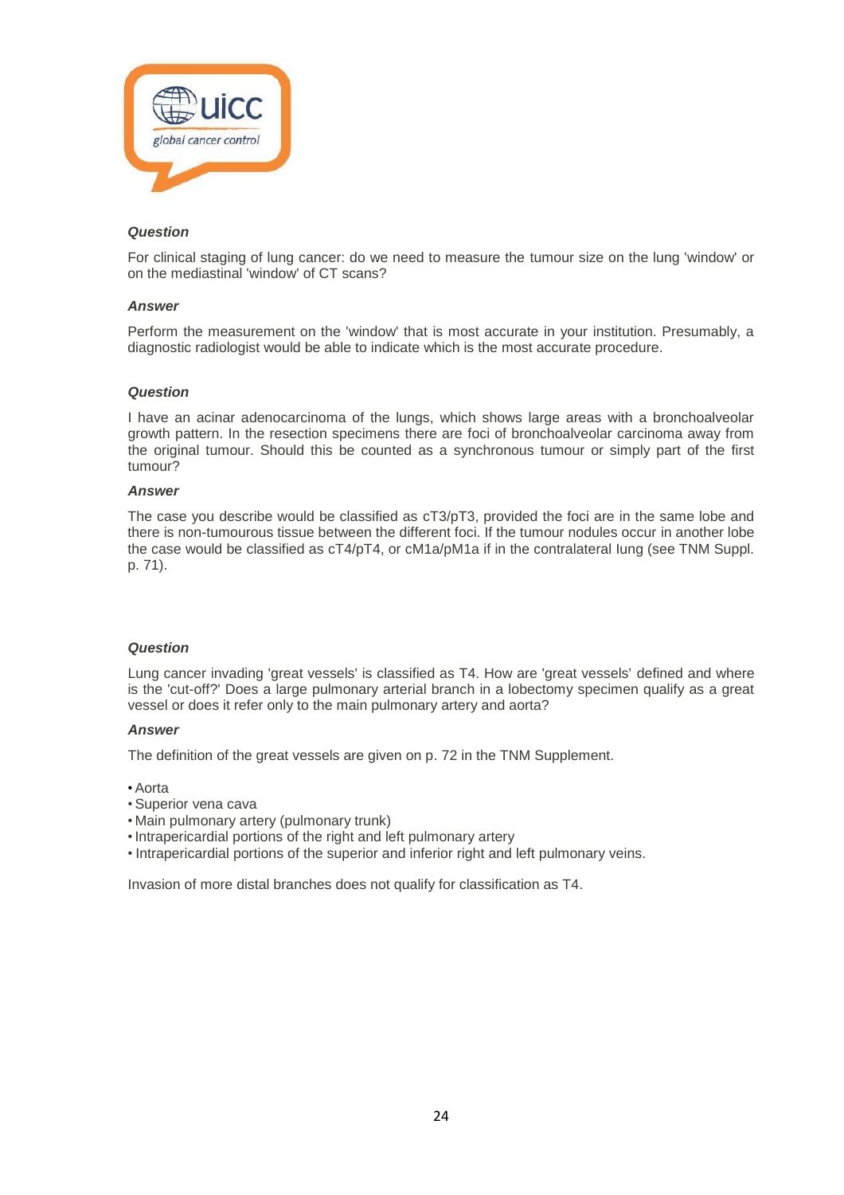

For clinical staging of lung cancer: do we need to measure the tumour size on the lung 'window' or on the mediastinal 'window' of CT scans?

#### *Answer*

Perform the measurement on the 'window' that is most accurate in your institution. Presumably, a diagnostic radiologist would be able to indicate which is the most accurate procedure.

# *Question*

I have an acinar adenocarcinoma of the lungs, which shows large areas with a bronchoalveolar growth pattern. In the resection specimens there are foci of bronchoalveolar carcinoma away from the original tumour. Should this be counted as a synchronous tumour or simply part of the first tumour?

# *Answer*

The case you describe would be classified as cT3/pT3, provided the foci are in the same lobe and there is non-tumourous tissue between the different foci. If the tumour nodules occur in another lobe the case would be classified as cT4/pT4, or cM1a/pM1a if in the contralateral Iung (see TNM Suppl. p. 71).

# *Question*

Lung cancer invading 'great vessels' is classified as T4. How are 'great vessels' defined and where is the 'cut-off?' Does a large pulmonary arterial branch in a lobectomy specimen qualify as a great vessel or does it refer only to the main pulmonary artery and aorta?

# *Answer*

The definition of the great vessels are given on p. 72 in the TNM Supplement.

- Aorta
- Superior vena cava
- Main pulmonary artery (pulmonary trunk)
- •Intrapericardial portions of the right and left pulmonary artery
- Intrapericardial portions of the superior and inferior right and left pulmonary veins.

Invasion of more distal branches does not qualify for classification as T4.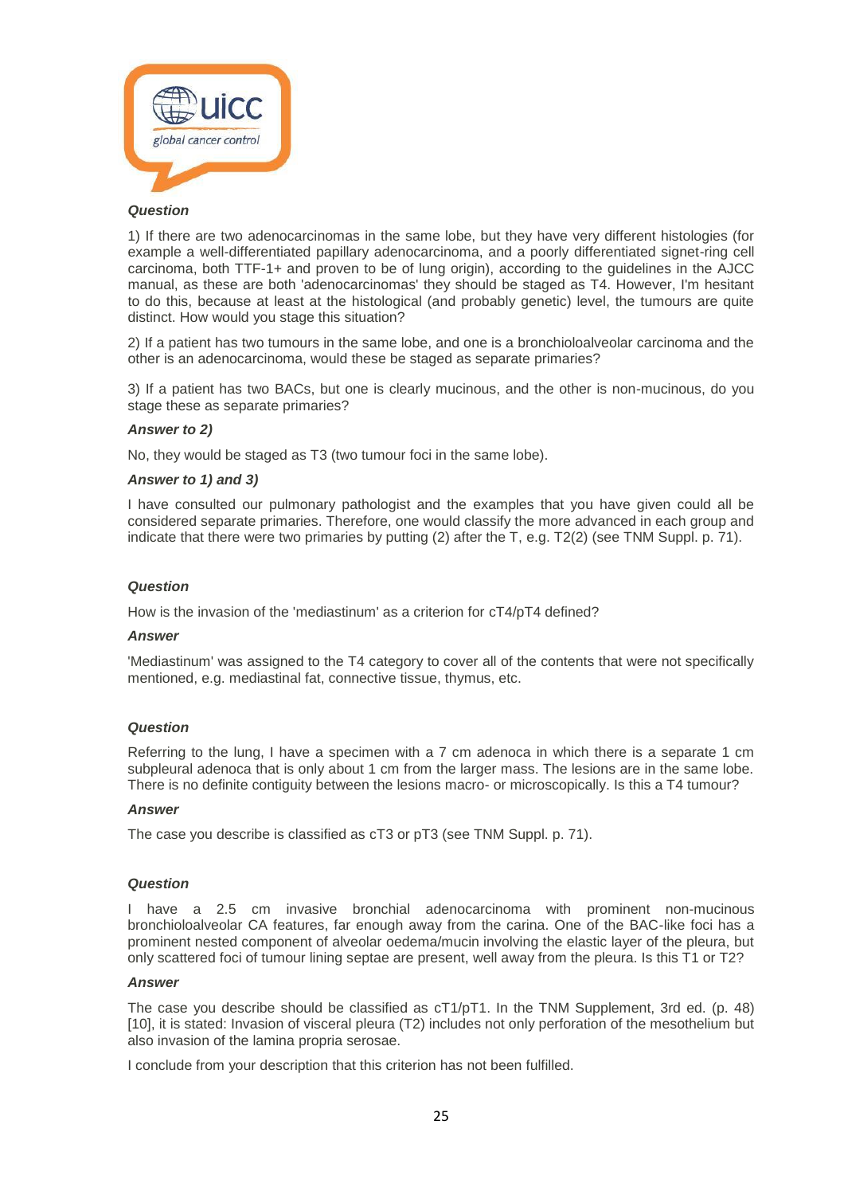

1) If there are two adenocarcinomas in the same lobe, but they have very different histologies (for example a well-differentiated papillary adenocarcinoma, and a poorly differentiated signet-ring cell carcinoma, both TTF-1+ and proven to be of lung origin), according to the guidelines in the AJCC manual, as these are both 'adenocarcinomas' they should be staged as T4. However, I'm hesitant to do this, because at least at the histological (and probably genetic) level, the tumours are quite distinct. How would you stage this situation?

2) If a patient has two tumours in the same lobe, and one is a bronchioloalveolar carcinoma and the other is an adenocarcinoma, would these be staged as separate primaries?

3) If a patient has two BACs, but one is clearly mucinous, and the other is non-mucinous, do you stage these as separate primaries?

#### *Answer to 2)*

No, they would be staged as T3 (two tumour foci in the same lobe).

#### *Answer to 1) and 3)*

I have consulted our pulmonary pathologist and the examples that you have given could all be considered separate primaries. Therefore, one would classify the more advanced in each group and indicate that there were two primaries by putting (2) after the T, e.g. T2(2) (see TNM Suppl. p. 71).

#### *Question*

How is the invasion of the 'mediastinum' as a criterion for cT4/pT4 defined?

#### *Answer*

'Mediastinum' was assigned to the T4 category to cover all of the contents that were not specifically mentioned, e.g. mediastinal fat, connective tissue, thymus, etc.

#### *Question*

Referring to the lung, I have a specimen with a 7 cm adenoca in which there is a separate 1 cm subpleural adenoca that is only about 1 cm from the larger mass. The lesions are in the same lobe. There is no definite contiguity between the lesions macro- or microscopically. Is this a T4 tumour?

#### *Answer*

The case you describe is classified as cT3 or pT3 (see TNM Suppl. p. 71).

#### *Question*

I have a 2.5 cm invasive bronchial adenocarcinoma with prominent non-mucinous bronchioloalveolar CA features, far enough away from the carina. One of the BAC-like foci has a prominent nested component of alveolar oedema/mucin involving the elastic layer of the pleura, but only scattered foci of tumour lining septae are present, well away from the pleura. Is this T1 or T2?

# *Answer*

The case you describe should be classified as cT1/pT1. In the TNM Supplement, 3rd ed. (p. 48) [10], it is stated: Invasion of visceral pleura (T2) includes not only perforation of the mesothelium but also invasion of the lamina propria serosae.

I conclude from your description that this criterion has not been fulfilled.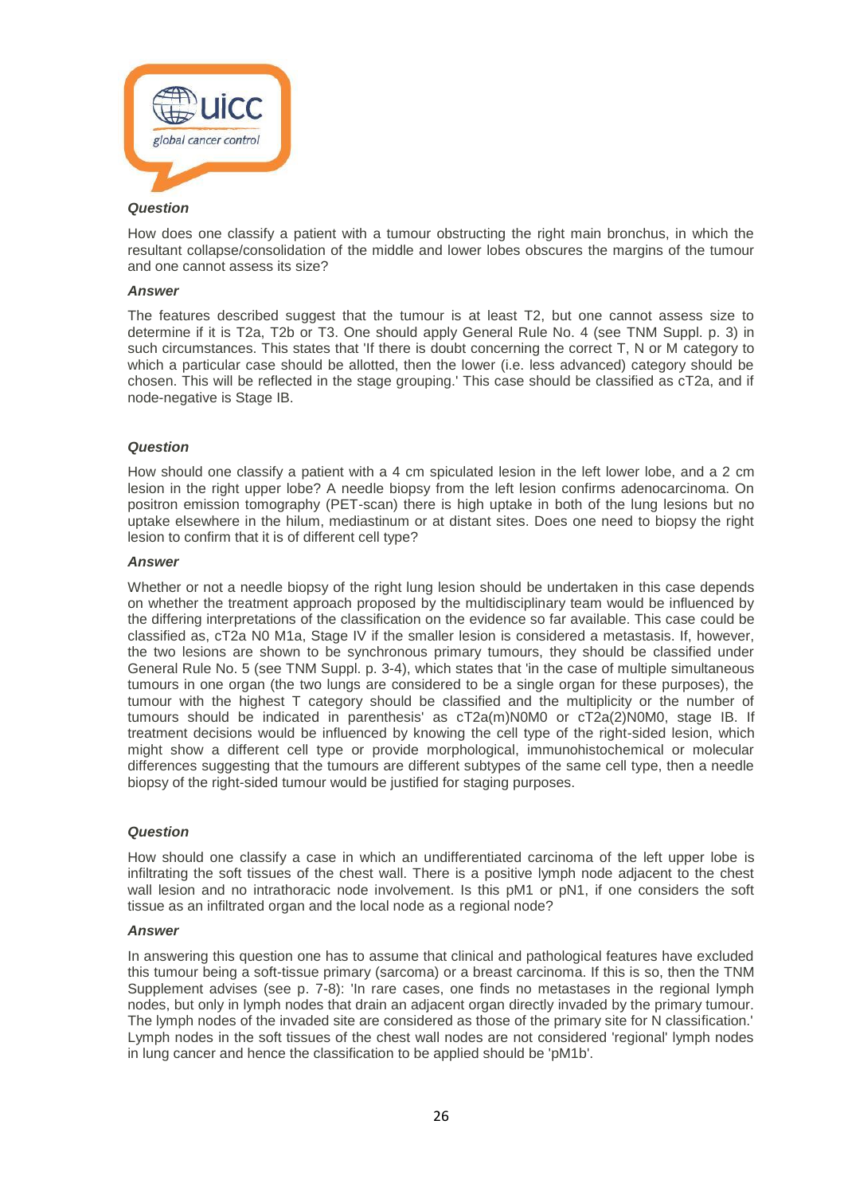

How does one classify a patient with a tumour obstructing the right main bronchus, in which the resultant collapse/consolidation of the middle and lower lobes obscures the margins of the tumour and one cannot assess its size?

#### *Answer*

The features described suggest that the tumour is at least T2, but one cannot assess size to determine if it is T2a, T2b or T3. One should apply General Rule No. 4 (see TNM Suppl. p. 3) in such circumstances. This states that 'If there is doubt concerning the correct T, N or M category to which a particular case should be allotted, then the lower (i.e. less advanced) category should be chosen. This will be reflected in the stage grouping.' This case should be classified as cT2a, and if node-negative is Stage IB.

# *Question*

How should one classify a patient with a 4 cm spiculated lesion in the left lower lobe, and a 2 cm lesion in the right upper lobe? A needle biopsy from the left lesion confirms adenocarcinoma. On positron emission tomography (PET-scan) there is high uptake in both of the lung lesions but no uptake elsewhere in the hilum, mediastinum or at distant sites. Does one need to biopsy the right lesion to confirm that it is of different cell type?

#### *Answer*

Whether or not a needle biopsy of the right lung lesion should be undertaken in this case depends on whether the treatment approach proposed by the multidisciplinary team would be influenced by the differing interpretations of the classification on the evidence so far available. This case could be classified as, cT2a N0 M1a, Stage IV if the smaller lesion is considered a metastasis. If, however, the two lesions are shown to be synchronous primary tumours, they should be classified under General Rule No. 5 (see TNM Suppl. p. 3-4), which states that 'in the case of multiple simultaneous tumours in one organ (the two lungs are considered to be a single organ for these purposes), the tumour with the highest T category should be classified and the multiplicity or the number of tumours should be indicated in parenthesis' as cT2a(m)N0M0 or cT2a(2)N0M0, stage IB. If treatment decisions would be influenced by knowing the cell type of the right-sided lesion, which might show a different cell type or provide morphological, immunohistochemical or molecular differences suggesting that the tumours are different subtypes of the same cell type, then a needle biopsy of the right-sided tumour would be justified for staging purposes.

#### *Question*

How should one classify a case in which an undifferentiated carcinoma of the left upper lobe is infiltrating the soft tissues of the chest wall. There is a positive lymph node adjacent to the chest wall lesion and no intrathoracic node involvement. Is this pM1 or pN1, if one considers the soft tissue as an infiltrated organ and the local node as a regional node?

#### *Answer*

In answering this question one has to assume that clinical and pathological features have excluded this tumour being a soft-tissue primary (sarcoma) or a breast carcinoma. If this is so, then the TNM Supplement advises (see p. 7-8): 'In rare cases, one finds no metastases in the regional lymph nodes, but only in lymph nodes that drain an adjacent organ directly invaded by the primary tumour. The lymph nodes of the invaded site are considered as those of the primary site for N classification.' Lymph nodes in the soft tissues of the chest wall nodes are not considered 'regional' lymph nodes in lung cancer and hence the classification to be applied should be 'pM1b'.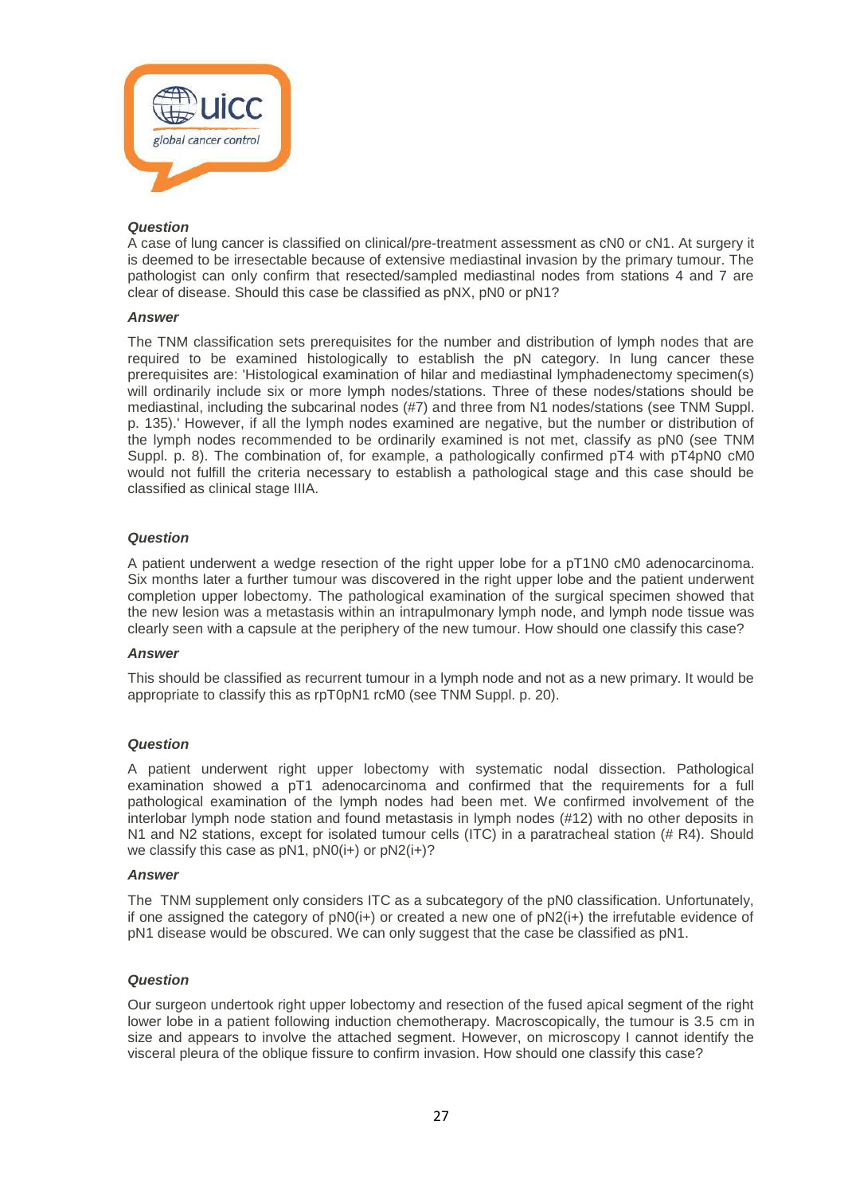

A case of lung cancer is classified on clinical/pre-treatment assessment as cN0 or cN1. At surgery it is deemed to be irresectable because of extensive mediastinal invasion by the primary tumour. The pathologist can only confirm that resected/sampled mediastinal nodes from stations 4 and 7 are clear of disease. Should this case be classified as pNX, pN0 or pN1?

#### *Answer*

The TNM classification sets prerequisites for the number and distribution of lymph nodes that are required to be examined histologically to establish the pN category. In lung cancer these prerequisites are: 'Histological examination of hilar and mediastinal lymphadenectomy specimen(s) will ordinarily include six or more lymph nodes/stations. Three of these nodes/stations should be mediastinal, including the subcarinal nodes (#7) and three from N1 nodes/stations (see TNM Suppl. p. 135).' However, if all the lymph nodes examined are negative, but the number or distribution of the lymph nodes recommended to be ordinarily examined is not met, classify as pN0 (see TNM Suppl. p. 8). The combination of, for example, a pathologically confirmed pT4 with pT4pN0 cM0 would not fulfill the criteria necessary to establish a pathological stage and this case should be classified as clinical stage IIIA.

# *Question*

A patient underwent a wedge resection of the right upper lobe for a pT1N0 cM0 adenocarcinoma. Six months later a further tumour was discovered in the right upper lobe and the patient underwent completion upper lobectomy. The pathological examination of the surgical specimen showed that the new lesion was a metastasis within an intrapulmonary lymph node, and lymph node tissue was clearly seen with a capsule at the periphery of the new tumour. How should one classify this case?

#### *Answer*

This should be classified as recurrent tumour in a lymph node and not as a new primary. It would be appropriate to classify this as rpT0pN1 rcM0 (see TNM Suppl. p. 20).

# *Question*

A patient underwent right upper lobectomy with systematic nodal dissection. Pathological examination showed a pT1 adenocarcinoma and confirmed that the requirements for a full pathological examination of the lymph nodes had been met. We confirmed involvement of the interlobar lymph node station and found metastasis in lymph nodes (#12) with no other deposits in N1 and N2 stations, except for isolated tumour cells (ITC) in a paratracheal station (# R4). Should we classify this case as  $pN1$ ,  $pN0(i+)$  or  $pN2(i+)$ ?

## *Answer*

The TNM supplement only considers ITC as a subcategory of the pN0 classification. Unfortunately, if one assigned the category of  $pNQ(i+)$  or created a new one of  $pNQ(i+)$  the irrefutable evidence of pN1 disease would be obscured. We can only suggest that the case be classified as pN1.

#### *Question*

Our surgeon undertook right upper lobectomy and resection of the fused apical segment of the right lower lobe in a patient following induction chemotherapy. Macroscopically, the tumour is 3.5 cm in size and appears to involve the attached segment. However, on microscopy I cannot identify the visceral pleura of the oblique fissure to confirm invasion. How should one classify this case?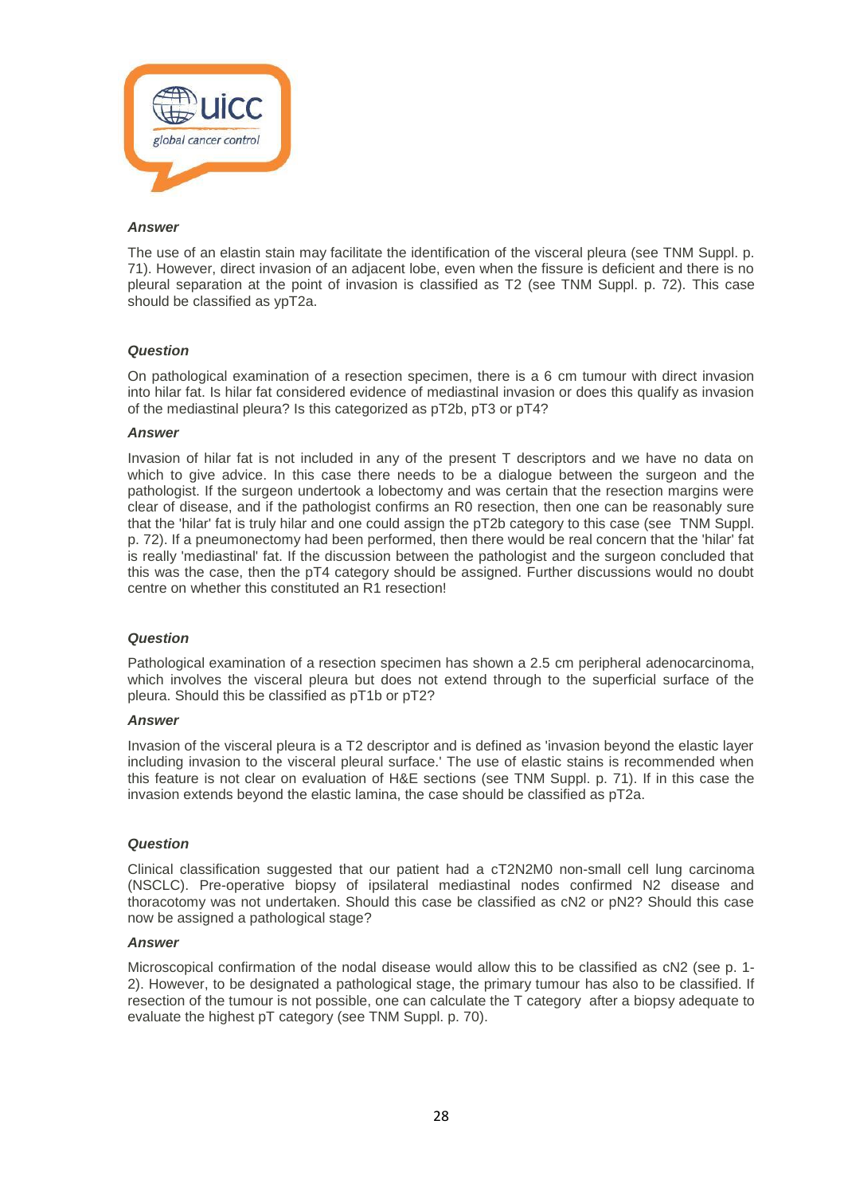

The use of an elastin stain may facilitate the identification of the visceral pleura (see TNM Suppl. p. 71). However, direct invasion of an adjacent lobe, even when the fissure is deficient and there is no pleural separation at the point of invasion is classified as T2 (see TNM Suppl. p. 72). This case should be classified as ypT2a.

#### *Question*

On pathological examination of a resection specimen, there is a 6 cm tumour with direct invasion into hilar fat. Is hilar fat considered evidence of mediastinal invasion or does this qualify as invasion of the mediastinal pleura? Is this categorized as pT2b, pT3 or pT4?

#### *Answer*

Invasion of hilar fat is not included in any of the present T descriptors and we have no data on which to give advice. In this case there needs to be a dialogue between the surgeon and the pathologist. If the surgeon undertook a lobectomy and was certain that the resection margins were clear of disease, and if the pathologist confirms an R0 resection, then one can be reasonably sure that the 'hilar' fat is truly hilar and one could assign the pT2b category to this case (see TNM Suppl. p. 72). If a pneumonectomy had been performed, then there would be real concern that the 'hilar' fat is really 'mediastinal' fat. If the discussion between the pathologist and the surgeon concluded that this was the case, then the pT4 category should be assigned. Further discussions would no doubt centre on whether this constituted an R1 resection!

#### *Question*

Pathological examination of a resection specimen has shown a 2.5 cm peripheral adenocarcinoma, which involves the visceral pleura but does not extend through to the superficial surface of the pleura. Should this be classified as pT1b or pT2?

#### *Answer*

Invasion of the visceral pleura is a T2 descriptor and is defined as 'invasion beyond the elastic layer including invasion to the visceral pleural surface.' The use of elastic stains is recommended when this feature is not clear on evaluation of H&E sections (see TNM Suppl. p. 71). If in this case the invasion extends beyond the elastic lamina, the case should be classified as pT2a.

#### *Question*

Clinical classification suggested that our patient had a cT2N2M0 non-small cell lung carcinoma (NSCLC). Pre-operative biopsy of ipsilateral mediastinal nodes confirmed N2 disease and thoracotomy was not undertaken. Should this case be classified as cN2 or pN2? Should this case now be assigned a pathological stage?

#### *Answer*

Microscopical confirmation of the nodal disease would allow this to be classified as cN2 (see p. 1- 2). However, to be designated a pathological stage, the primary tumour has also to be classified. If resection of the tumour is not possible, one can calculate the T category after a biopsy adequate to evaluate the highest pT category (see TNM Suppl. p. 70).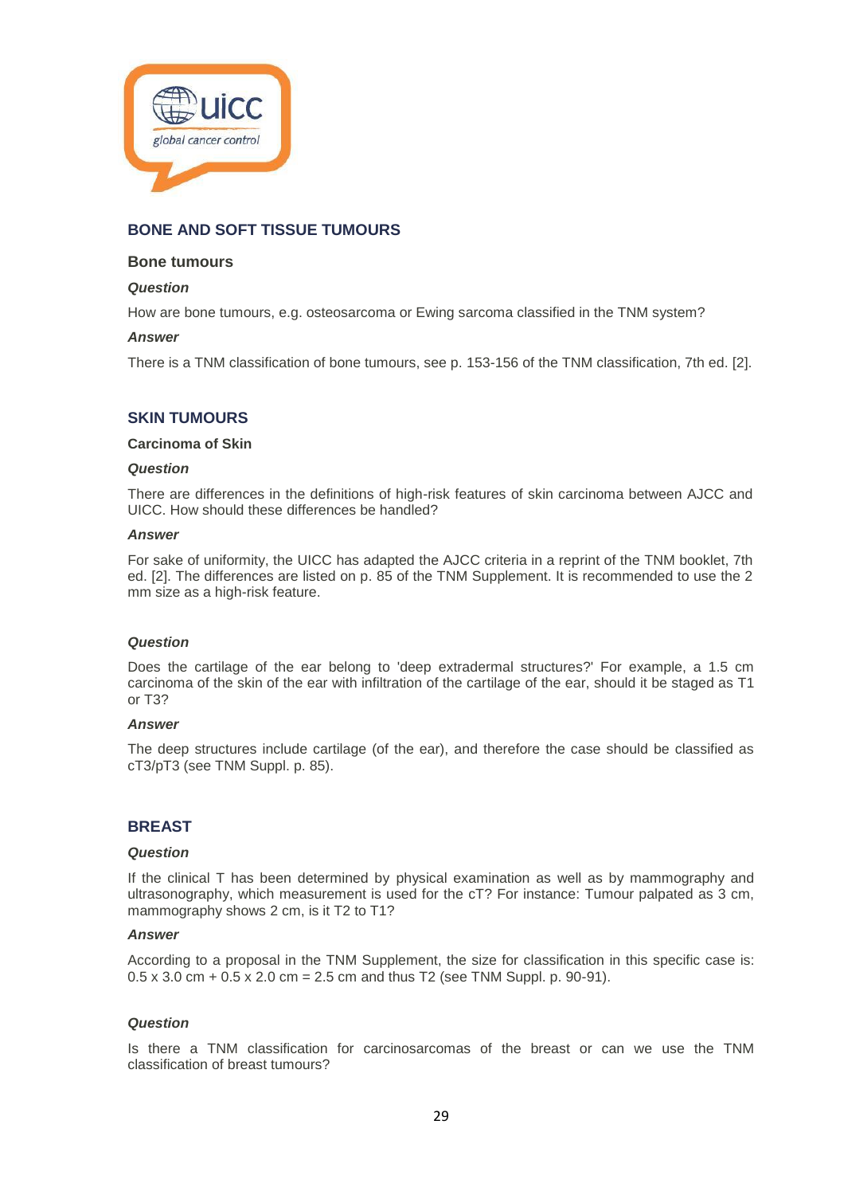

# **BONE AND SOFT TISSUE TUMOURS**

# **Bone tumours**

## *Question*

How are bone tumours, e.g. osteosarcoma or Ewing sarcoma classified in the TNM system?

#### *Answer*

There is a TNM classification of bone tumours, see p. 153-156 of the TNM classification, 7th ed. [2].

# **SKIN TUMOURS**

# **Carcinoma of Skin**

## *Question*

There are differences in the definitions of high-risk features of skin carcinoma between AJCC and UICC. How should these differences be handled?

# *Answer*

For sake of uniformity, the UICC has adapted the AJCC criteria in a reprint of the TNM booklet, 7th ed. [2]. The differences are listed on p. 85 of the TNM Supplement. It is recommended to use the 2 mm size as a high-risk feature.

#### *Question*

Does the cartilage of the ear belong to 'deep extradermal structures?' For example, a 1.5 cm carcinoma of the skin of the ear with infiltration of the cartilage of the ear, should it be staged as T1 or T3?

## *Answer*

The deep structures include cartilage (of the ear), and therefore the case should be classified as cT3/pT3 (see TNM Suppl. p. 85).

# **BREAST**

#### *Question*

If the clinical T has been determined by physical examination as well as by mammography and ultrasonography, which measurement is used for the cT? For instance: Tumour palpated as 3 cm, mammography shows 2 cm, is it T2 to T1?

#### *Answer*

According to a proposal in the TNM Supplement, the size for classification in this specific case is:  $0.5 \times 3.0$  cm  $+ 0.5 \times 2.0$  cm = 2.5 cm and thus T2 (see TNM Suppl. p. 90-91).

#### *Question*

Is there a TNM classification for carcinosarcomas of the breast or can we use the TNM classification of breast tumours?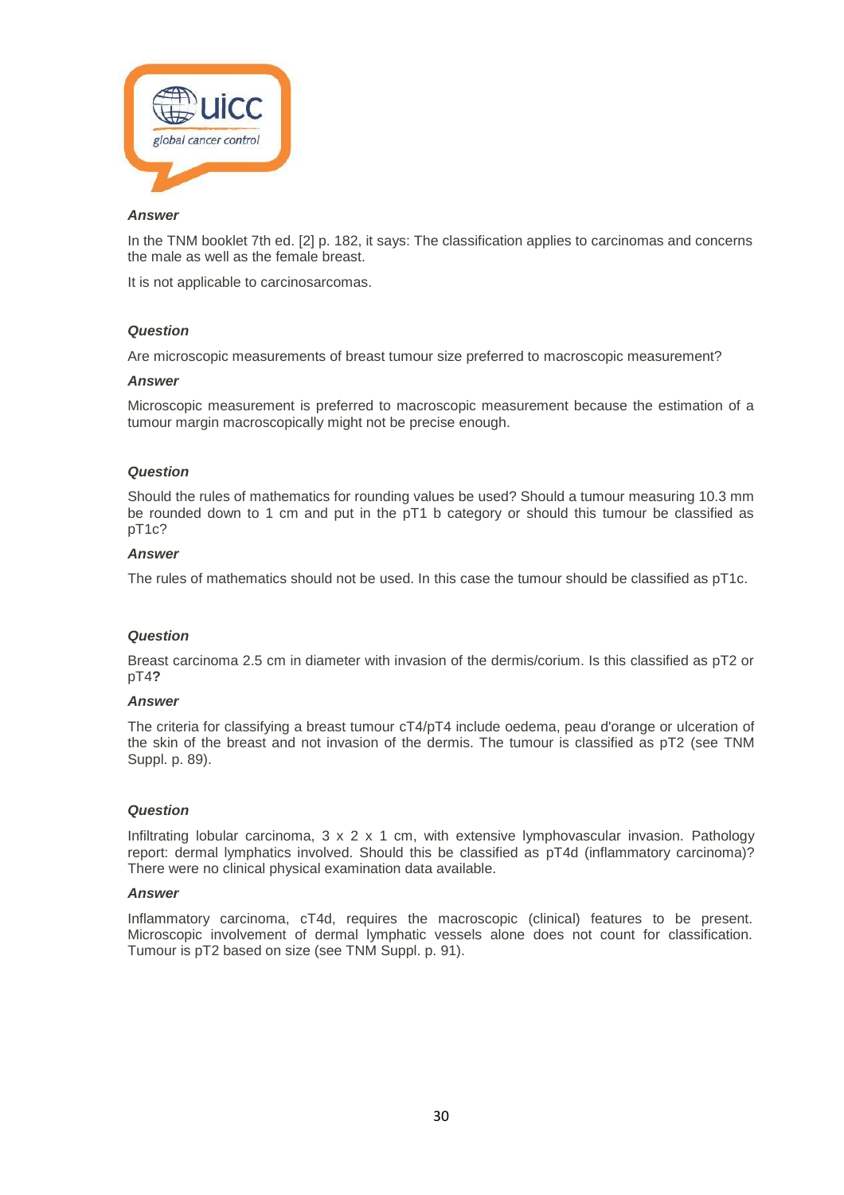

In the TNM booklet 7th ed. [2] p. 182, it says: The classification applies to carcinomas and concerns the male as well as the female breast.

It is not applicable to carcinosarcomas.

#### *Question*

Are microscopic measurements of breast tumour size preferred to macroscopic measurement?

#### *Answer*

Microscopic measurement is preferred to macroscopic measurement because the estimation of a tumour margin macroscopically might not be precise enough.

#### *Question*

Should the rules of mathematics for rounding values be used? Should a tumour measuring 10.3 mm be rounded down to 1 cm and put in the pT1 b category or should this tumour be classified as pT1c?

#### *Answer*

The rules of mathematics should not be used. In this case the tumour should be classified as pT1c.

#### *Question*

Breast carcinoma 2.5 cm in diameter with invasion of the dermis/corium. Is this classified as pT2 or pT4**?**

#### *Answer*

The criteria for classifying a breast tumour cT4/pT4 include oedema, peau d'orange or ulceration of the skin of the breast and not invasion of the dermis. The tumour is classified as pT2 (see TNM Suppl. p. 89).

#### *Question*

Infiltrating lobular carcinoma,  $3 \times 2 \times 1$  cm, with extensive lymphovascular invasion. Pathology report: dermal lymphatics involved. Should this be classified as pT4d (inflammatory carcinoma)? There were no clinical physical examination data available.

#### *Answer*

Inflammatory carcinoma, cT4d, requires the macroscopic (clinical) features to be present. Microscopic involvement of dermal lymphatic vessels alone does not count for classification. Tumour is pT2 based on size (see TNM Suppl. p. 91).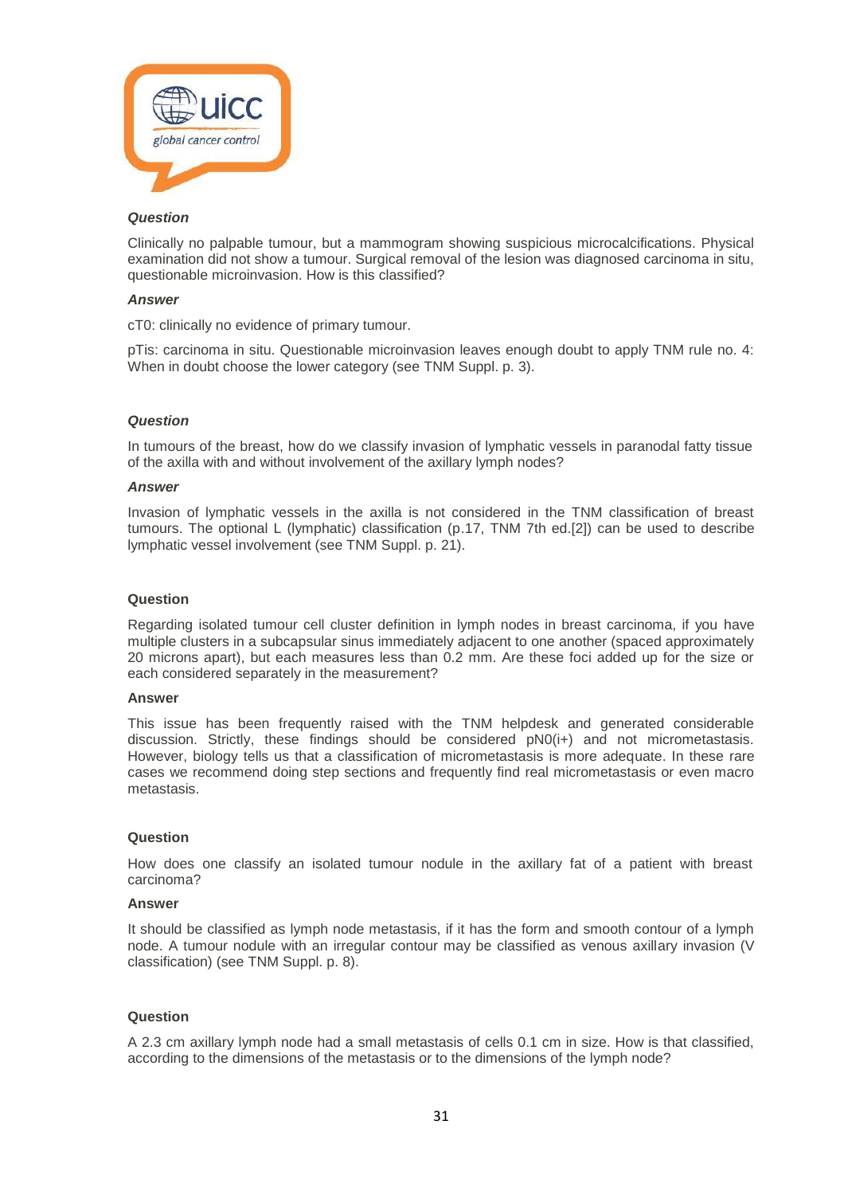

Clinically no palpable tumour, but a mammogram showing suspicious microcalcifications. Physical examination did not show a tumour. Surgical removal of the lesion was diagnosed carcinoma in situ, questionable microinvasion. How is this classified?

#### *Answer*

cT0: clinically no evidence of primary tumour.

pTis: carcinoma in situ. Questionable microinvasion leaves enough doubt to apply TNM rule no. 4: When in doubt choose the lower category (see TNM Suppl. p. 3).

# *Question*

In tumours of the breast, how do we classify invasion of lymphatic vessels in paranodal fatty tissue of the axilla with and without involvement of the axillary lymph nodes?

#### *Answer*

Invasion of lymphatic vessels in the axilla is not considered in the TNM classification of breast tumours. The optional L (lymphatic) classification (p.17, TNM 7th ed.[2]) can be used to describe lymphatic vessel involvement (see TNM Suppl. p. 21).

#### **Question**

Regarding isolated tumour cell cluster definition in lymph nodes in breast carcinoma, if you have multiple clusters in a subcapsular sinus immediately adjacent to one another (spaced approximately 20 microns apart), but each measures less than 0.2 mm. Are these foci added up for the size or each considered separately in the measurement?

#### **Answer**

This issue has been frequently raised with the TNM helpdesk and generated considerable discussion. Strictly, these findings should be considered pN0(i+) and not micrometastasis. However, biology tells us that a classification of micrometastasis is more adequate. In these rare cases we recommend doing step sections and frequently find real micrometastasis or even macro metastasis.

# **Question**

How does one classify an isolated tumour nodule in the axillary fat of a patient with breast carcinoma?

#### **Answer**

It should be classified as lymph node metastasis, if it has the form and smooth contour of a lymph node. A tumour nodule with an irregular contour may be classified as venous axillary invasion (V classification) (see TNM Suppl. p. 8).

# **Question**

A 2.3 cm axillary lymph node had a small metastasis of cells 0.1 cm in size. How is that classified, according to the dimensions of the metastasis or to the dimensions of the lymph node?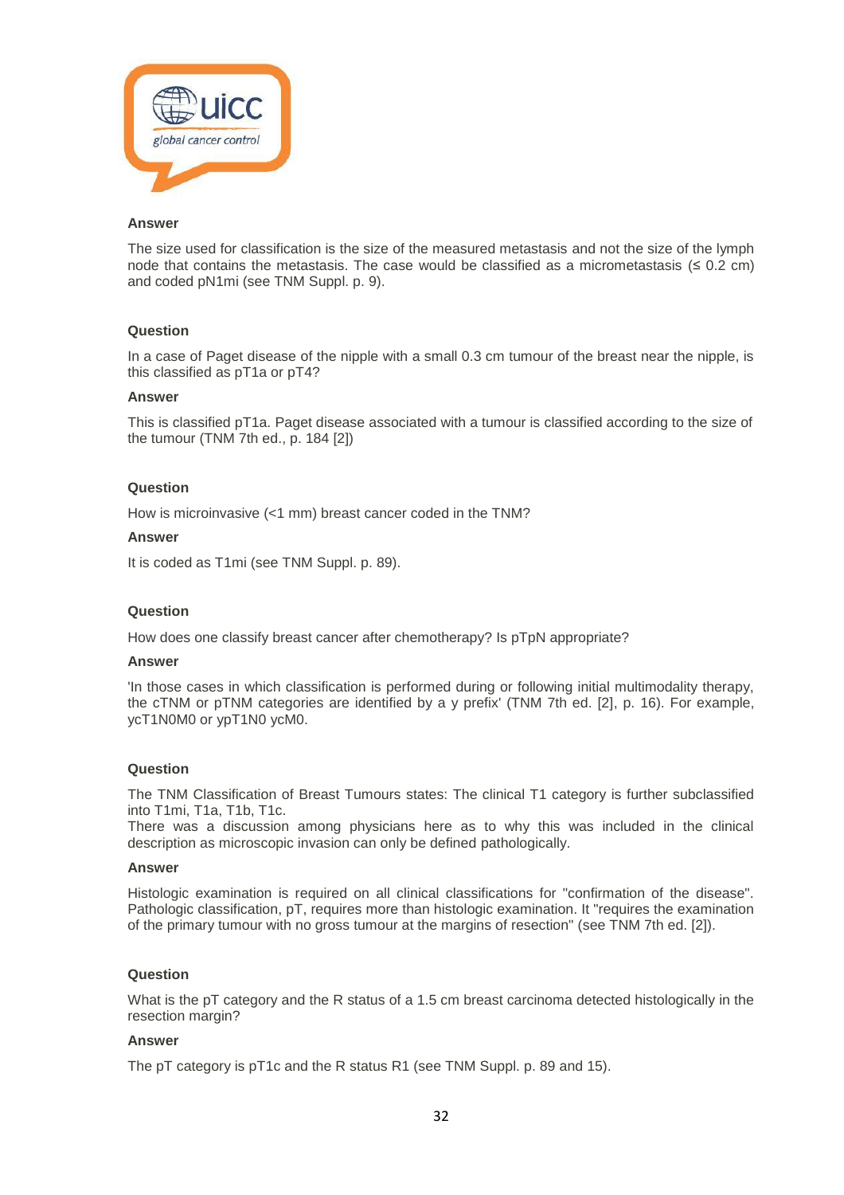

The size used for classification is the size of the measured metastasis and not the size of the lymph node that contains the metastasis. The case would be classified as a micrometastasis ( $\leq 0.2$  cm) and coded pN1mi (see TNM Suppl. p. 9).

#### **Question**

In a case of Paget disease of the nipple with a small 0.3 cm tumour of the breast near the nipple, is this classified as pT1a or pT4?

## **Answer**

This is classified pT1a. Paget disease associated with a tumour is classified according to the size of the tumour (TNM 7th ed., p. 184 [2])

#### **Question**

How is microinvasive (<1 mm) breast cancer coded in the TNM?

#### **Answer**

It is coded as T1mi (see TNM Suppl. p. 89).

#### **Question**

How does one classify breast cancer after chemotherapy? Is pTpN appropriate?

#### **Answer**

'In those cases in which classification is performed during or following initial multimodality therapy, the cTNM or pTNM categories are identified by a y prefix' (TNM 7th ed. [2], p. 16). For example, ycT1N0M0 or ypT1N0 ycM0.

#### **Question**

The TNM Classification of Breast Tumours states: The clinical T1 category is further subclassified into T1mi, T1a, T1b, T1c.

There was a discussion among physicians here as to why this was included in the clinical description as microscopic invasion can only be defined pathologically.

#### **Answer**

Histologic examination is required on all clinical classifications for "confirmation of the disease". Pathologic classification, pT, requires more than histologic examination. It "requires the examination of the primary tumour with no gross tumour at the margins of resection" (see TNM 7th ed. [2]).

# **Question**

What is the pT category and the R status of a 1.5 cm breast carcinoma detected histologically in the resection margin?

#### **Answer**

The pT category is pT1c and the R status R1 (see TNM Suppl. p. 89 and 15).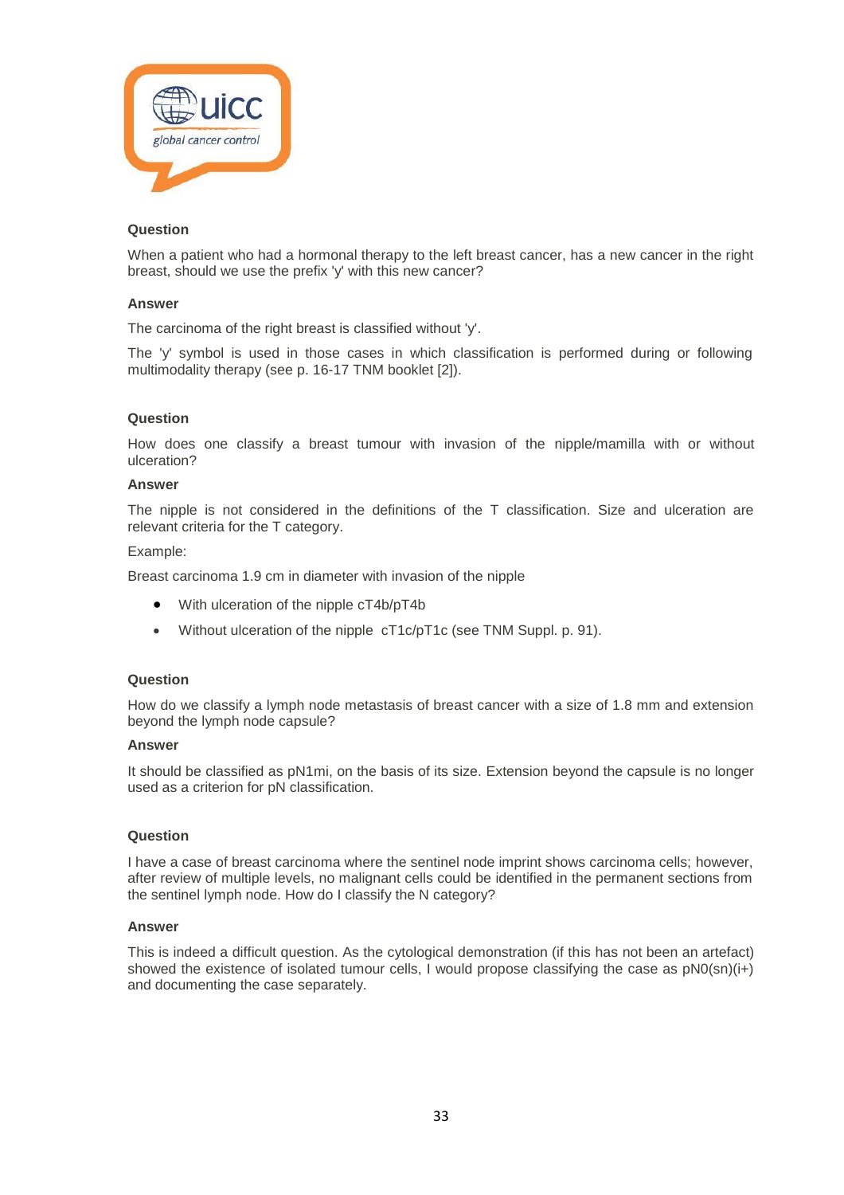

When a patient who had a hormonal therapy to the left breast cancer, has a new cancer in the right breast, should we use the prefix 'y' with this new cancer?

# **Answer**

The carcinoma of the right breast is classified without 'y'.

The 'y' symbol is used in those cases in which classification is performed during or following multimodality therapy (see p. 16-17 TNM booklet [2]).

#### **Question**

How does one classify a breast tumour with invasion of the nipple/mamilla with or without ulceration?

#### **Answer**

The nipple is not considered in the definitions of the T classification. Size and ulceration are relevant criteria for the T category.

#### Example:

Breast carcinoma 1.9 cm in diameter with invasion of the nipple

- With ulceration of the nipple cT4b/pT4b
- Without ulceration of the nipple cT1c/pT1c (see TNM Suppl. p. 91).

# **Question**

How do we classify a lymph node metastasis of breast cancer with a size of 1.8 mm and extension beyond the lymph node capsule?

#### **Answer**

It should be classified as pN1mi, on the basis of its size. Extension beyond the capsule is no longer used as a criterion for pN classification.

#### **Question**

I have a case of breast carcinoma where the sentinel node imprint shows carcinoma cells; however, after review of multiple levels, no malignant cells could be identified in the permanent sections from the sentinel lymph node. How do I classify the N category?

#### **Answer**

This is indeed a difficult question. As the cytological demonstration (if this has not been an artefact) showed the existence of isolated tumour cells, I would propose classifying the case as  $pN0(\text{sn})(i+)$ and documenting the case separately.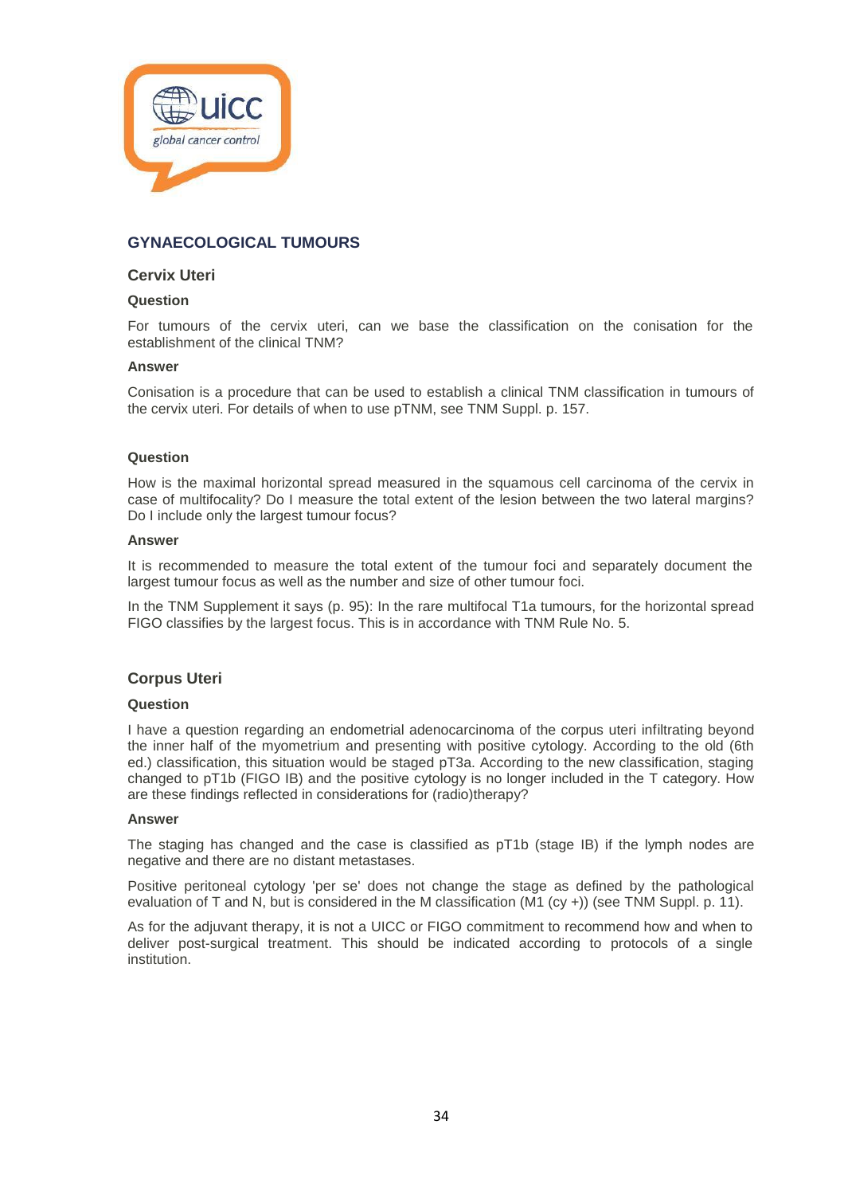

# **GYNAECOLOGICAL TUMOURS**

# **Cervix Uteri**

#### **Question**

For tumours of the cervix uteri, can we base the classification on the conisation for the establishment of the clinical TNM?

#### **Answer**

Conisation is a procedure that can be used to establish a clinical TNM classification in tumours of the cervix uteri. For details of when to use pTNM, see TNM Suppl. p. 157.

#### **Question**

How is the maximal horizontal spread measured in the squamous cell carcinoma of the cervix in case of multifocality? Do I measure the total extent of the lesion between the two lateral margins? Do I include only the largest tumour focus?

#### **Answer**

It is recommended to measure the total extent of the tumour foci and separately document the largest tumour focus as well as the number and size of other tumour foci.

In the TNM Supplement it says (p. 95): In the rare multifocal T1a tumours, for the horizontal spread FIGO classifies by the largest focus. This is in accordance with TNM Rule No. 5.

# **Corpus Uteri**

#### **Question**

I have a question regarding an endometrial adenocarcinoma of the corpus uteri infiltrating beyond the inner half of the myometrium and presenting with positive cytology. According to the old (6th ed.) classification, this situation would be staged pT3a. According to the new classification, staging changed to pT1b (FIGO IB) and the positive cytology is no longer included in the T category. How are these findings reflected in considerations for (radio)therapy?

#### **Answer**

The staging has changed and the case is classified as pT1b (stage IB) if the lymph nodes are negative and there are no distant metastases.

Positive peritoneal cytology 'per se' does not change the stage as defined by the pathological evaluation of T and N, but is considered in the M classification (M1 (cy +)) (see TNM Suppl. p. 11).

As for the adjuvant therapy, it is not a UICC or FIGO commitment to recommend how and when to deliver post-surgical treatment. This should be indicated according to protocols of a single institution.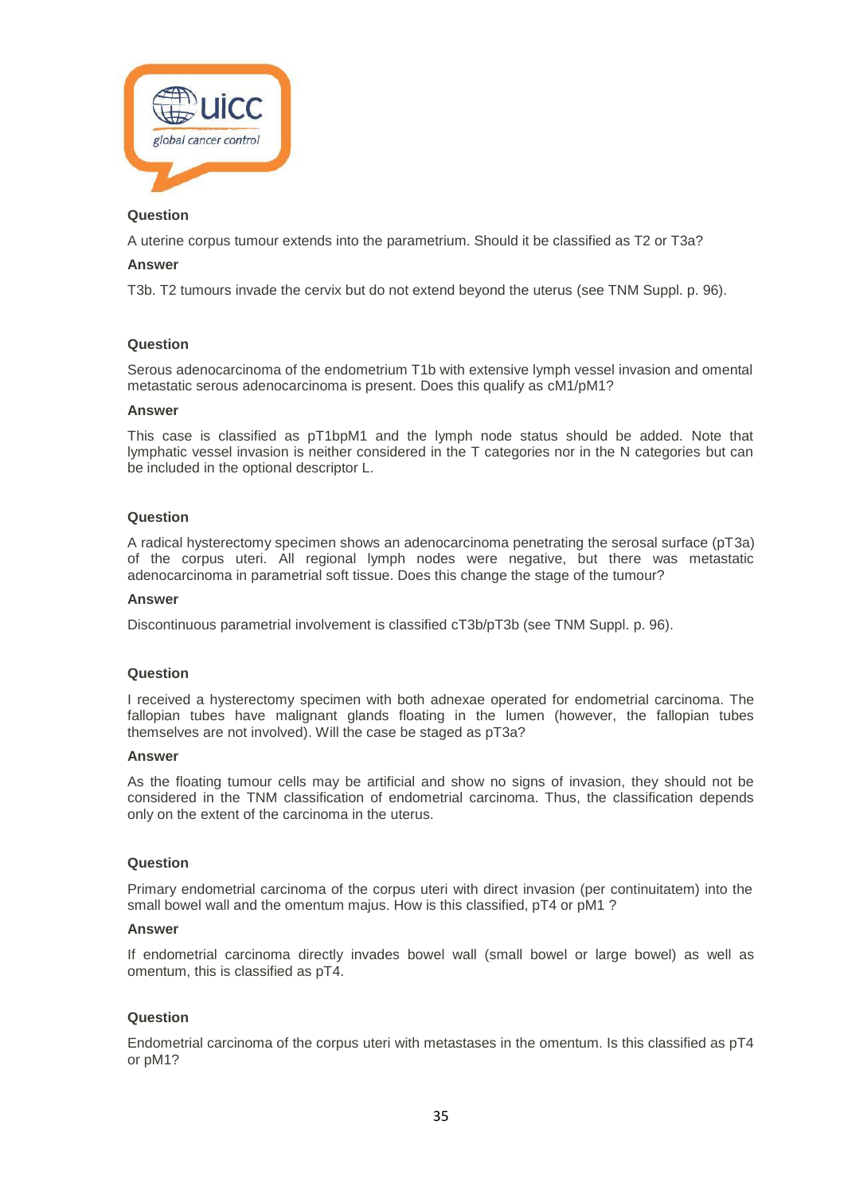

A uterine corpus tumour extends into the parametrium. Should it be classified as T2 or T3a?

# **Answer**

T3b. T2 tumours invade the cervix but do not extend beyond the uterus (see TNM Suppl. p. 96).

# **Question**

Serous adenocarcinoma of the endometrium T1b with extensive lymph vessel invasion and omental metastatic serous adenocarcinoma is present. Does this qualify as cM1/pM1?

#### **Answer**

This case is classified as pT1bpM1 and the lymph node status should be added. Note that lymphatic vessel invasion is neither considered in the T categories nor in the N categories but can be included in the optional descriptor L.

#### **Question**

A radical hysterectomy specimen shows an adenocarcinoma penetrating the serosal surface (pT3a) of the corpus uteri. All regional lymph nodes were negative, but there was metastatic adenocarcinoma in parametrial soft tissue. Does this change the stage of the tumour?

#### **Answer**

Discontinuous parametrial involvement is classified cT3b/pT3b (see TNM Suppl. p. 96).

#### **Question**

I received a hysterectomy specimen with both adnexae operated for endometrial carcinoma. The fallopian tubes have malignant glands floating in the lumen (however, the fallopian tubes themselves are not involved). Will the case be staged as pT3a?

#### **Answer**

As the floating tumour cells may be artificial and show no signs of invasion, they should not be considered in the TNM classification of endometrial carcinoma. Thus, the classification depends only on the extent of the carcinoma in the uterus.

#### **Question**

Primary endometrial carcinoma of the corpus uteri with direct invasion (per continuitatem) into the small bowel wall and the omentum majus. How is this classified, pT4 or pM1 ?

## **Answer**

If endometrial carcinoma directly invades bowel wall (small bowel or large bowel) as well as omentum, this is classified as pT4.

# **Question**

Endometrial carcinoma of the corpus uteri with metastases in the omentum. Is this classified as pT4 or pM1?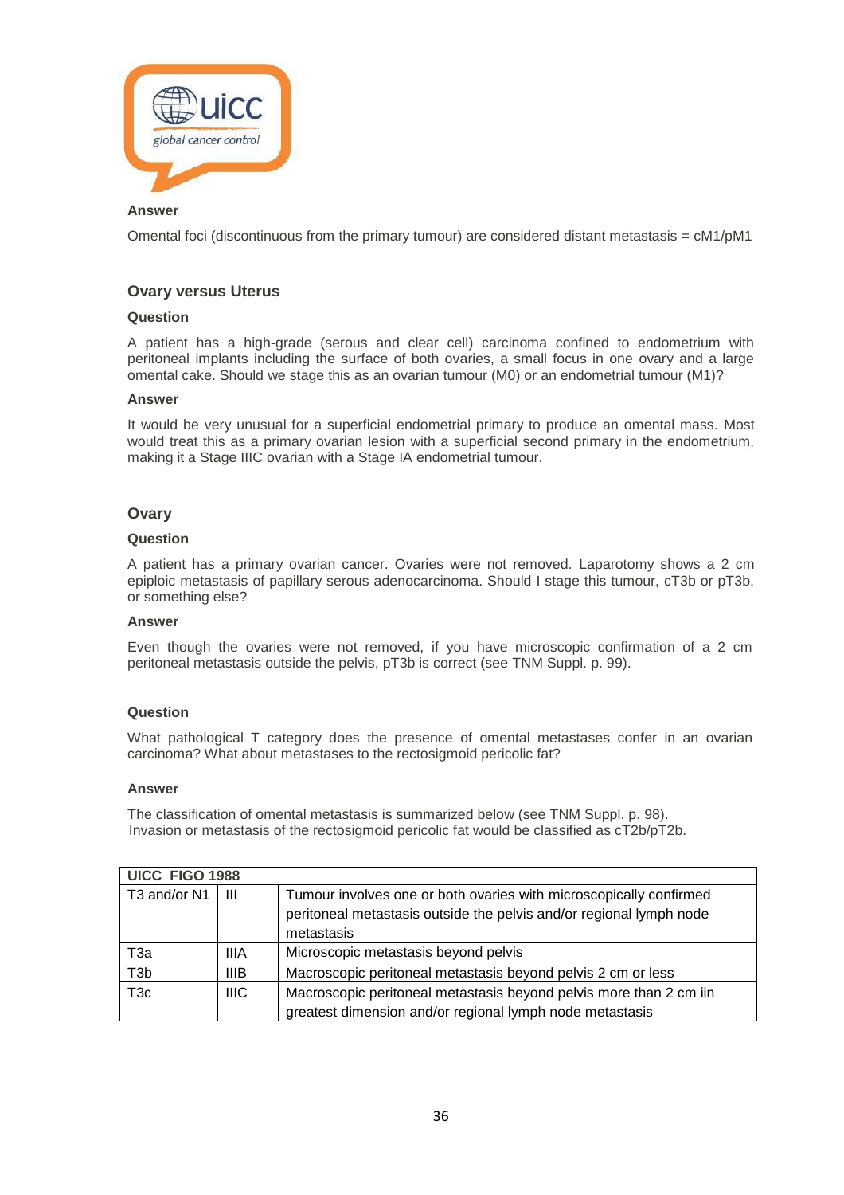

Omental foci (discontinuous from the primary tumour) are considered distant metastasis =  $cM1/pM1$ 

# **Ovary versus Uterus**

# **Question**

A patient has a high-grade (serous and clear cell) carcinoma confined to endometrium with peritoneal implants including the surface of both ovaries, a small focus in one ovary and a large omental cake. Should we stage this as an ovarian tumour (M0) or an endometrial tumour (M1)?

# **Answer**

It would be very unusual for a superficial endometrial primary to produce an omental mass. Most would treat this as a primary ovarian lesion with a superficial second primary in the endometrium, making it a Stage IIIC ovarian with a Stage IA endometrial tumour.

# **Ovary**

# **Question**

A patient has a primary ovarian cancer. Ovaries were not removed. Laparotomy shows a 2 cm epiploic metastasis of papillary serous adenocarcinoma. Should I stage this tumour, cT3b or pT3b, or something else?

# **Answer**

Even though the ovaries were not removed, if you have microscopic confirmation of a 2 cm peritoneal metastasis outside the pelvis, pT3b is correct (see TNM Suppl. p. 99).

# **Question**

What pathological T category does the presence of omental metastases confer in an ovarian carcinoma? What about metastases to the rectosigmoid pericolic fat?

#### **Answer**

The classification of omental metastasis is summarized below (see TNM Suppl. p. 98). Invasion or metastasis of the rectosigmoid pericolic fat would be classified as cT2b/pT2b.

| UICC FIGO 1988   |             |                                                                                                                                                         |  |
|------------------|-------------|---------------------------------------------------------------------------------------------------------------------------------------------------------|--|
| T3 and/or N1     | Ш           | Tumour involves one or both ovaries with microscopically confirmed<br>peritoneal metastasis outside the pelvis and/or regional lymph node<br>metastasis |  |
| ТЗа              | <b>IIIA</b> | Microscopic metastasis beyond pelvis                                                                                                                    |  |
| T <sub>3</sub> b | <b>IIIB</b> | Macroscopic peritoneal metastasis beyond pelvis 2 cm or less                                                                                            |  |
| T <sub>3c</sub>  | <b>IIIC</b> | Macroscopic peritoneal metastasis beyond pelvis more than 2 cm iin<br>greatest dimension and/or regional lymph node metastasis                          |  |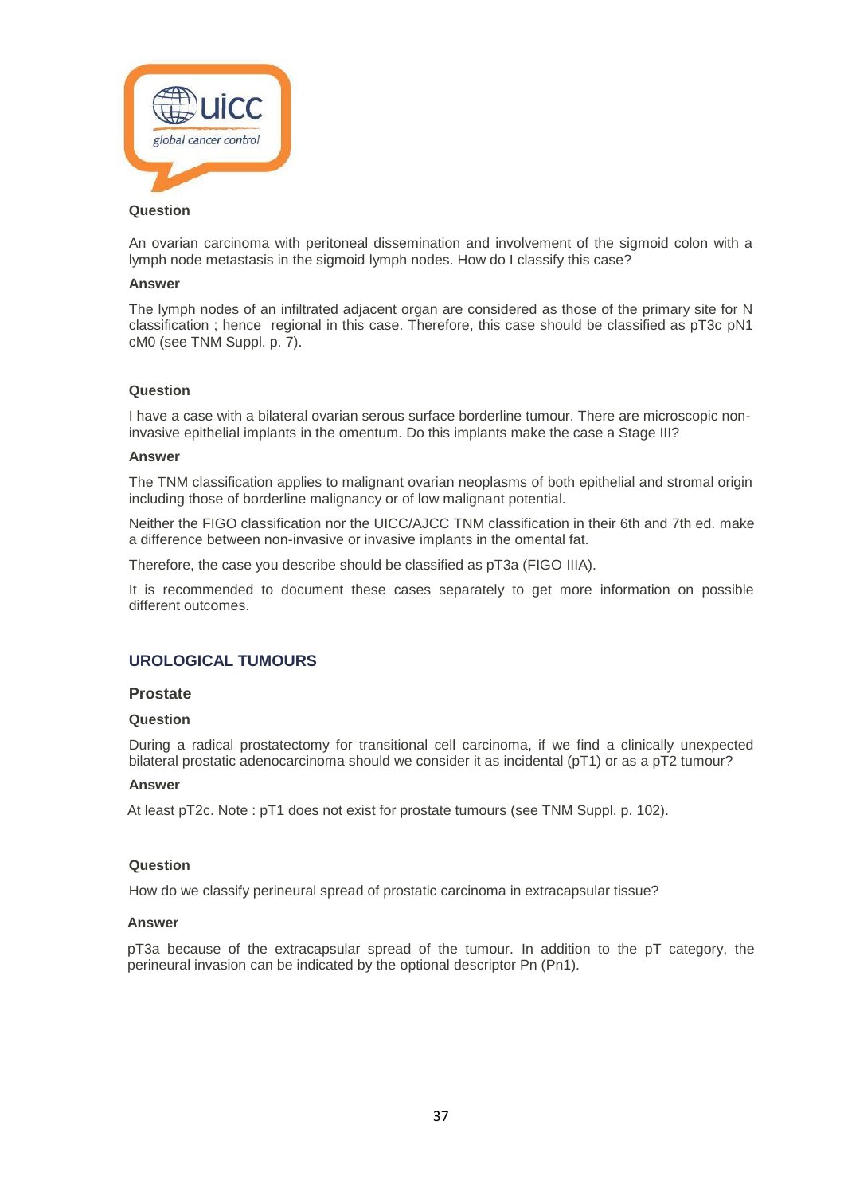

An ovarian carcinoma with peritoneal dissemination and involvement of the sigmoid colon with a lymph node metastasis in the sigmoid lymph nodes. How do I classify this case?

#### **Answer**

The lymph nodes of an infiltrated adjacent organ are considered as those of the primary site for N classification ; hence regional in this case. Therefore, this case should be classified as pT3c pN1 cM0 (see TNM Suppl. p. 7).

#### **Question**

I have a case with a bilateral ovarian serous surface borderline tumour. There are microscopic noninvasive epithelial implants in the omentum. Do this implants make the case a Stage III?

#### **Answer**

The TNM classification applies to malignant ovarian neoplasms of both epithelial and stromal origin including those of borderline malignancy or of low malignant potential.

Neither the FIGO classification nor the UICC/AJCC TNM classification in their 6th and 7th ed. make a difference between non-invasive or invasive implants in the omental fat.

Therefore, the case you describe should be classified as pT3a (FIGO IIIA).

It is recommended to document these cases separately to get more information on possible different outcomes.

# **UROLOGICAL TUMOURS**

#### **Prostate**

#### **Question**

During a radical prostatectomy for transitional cell carcinoma, if we find a clinically unexpected bilateral prostatic adenocarcinoma should we consider it as incidental (pT1) or as a pT2 tumour?

#### **Answer**

At least pT2c. Note : pT1 does not exist for prostate tumours (see TNM Suppl. p. 102).

#### **Question**

How do we classify perineural spread of prostatic carcinoma in extracapsular tissue?

#### **Answer**

pT3a because of the extracapsular spread of the tumour. In addition to the pT category, the perineural invasion can be indicated by the optional descriptor Pn (Pn1).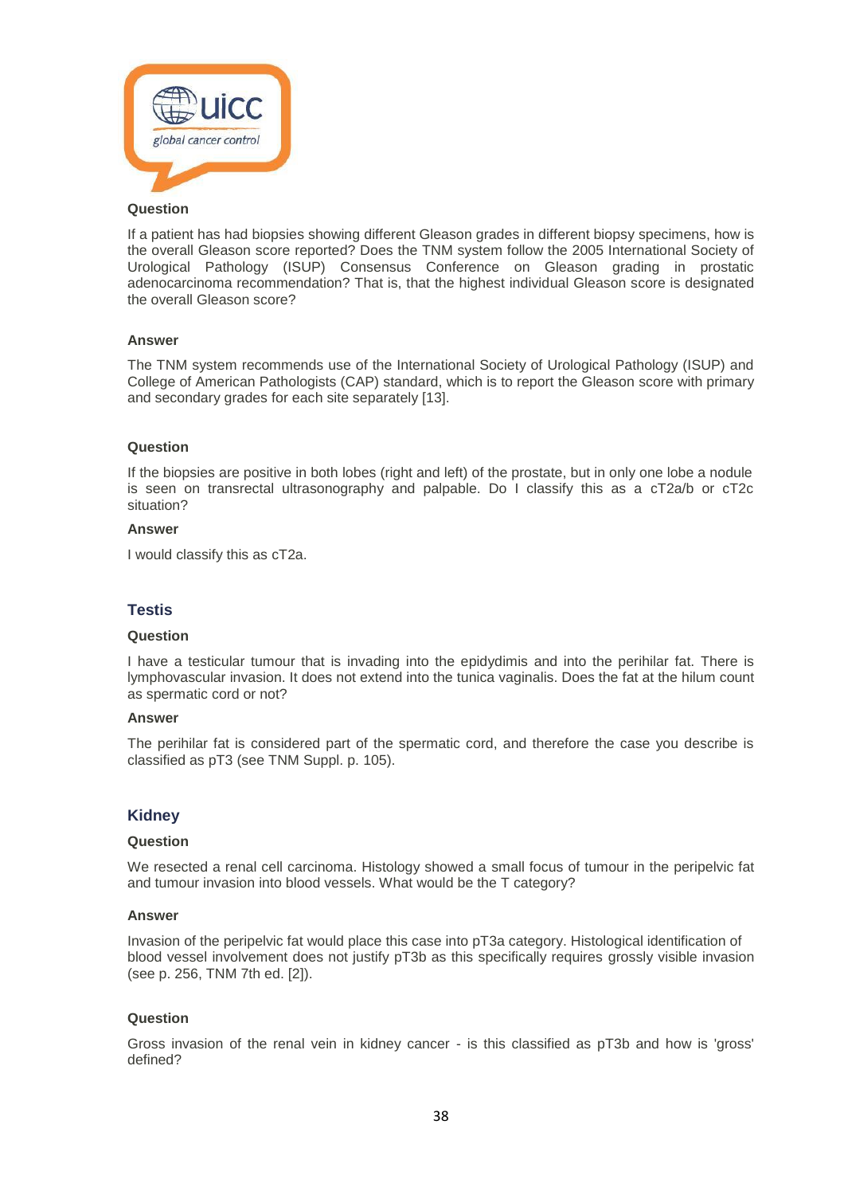

If a patient has had biopsies showing different Gleason grades in different biopsy specimens, how is the overall Gleason score reported? Does the TNM system follow the 2005 International Society of Urological Pathology (ISUP) Consensus Conference on Gleason grading in prostatic adenocarcinoma recommendation? That is, that the highest individual Gleason score is designated the overall Gleason score?

#### **Answer**

The TNM system recommends use of the International Society of Urological Pathology (ISUP) and College of American Pathologists (CAP) standard, which is to report the Gleason score with primary and secondary grades for each site separately [13].

#### **Question**

If the biopsies are positive in both lobes (right and left) of the prostate, but in only one lobe a nodule is seen on transrectal ultrasonography and palpable. Do I classify this as a cT2a/b or cT2c situation?

#### **Answer**

I would classify this as cT2a.

#### **Testis**

#### **Question**

I have a testicular tumour that is invading into the epidydimis and into the perihilar fat. There is lymphovascular invasion. It does not extend into the tunica vaginalis. Does the fat at the hilum count as spermatic cord or not?

#### **Answer**

The perihilar fat is considered part of the spermatic cord, and therefore the case you describe is classified as pT3 (see TNM Suppl. p. 105).

#### **Kidney**

#### **Question**

We resected a renal cell carcinoma. Histology showed a small focus of tumour in the peripelvic fat and tumour invasion into blood vessels. What would be the T category?

#### **Answer**

Invasion of the peripelvic fat would place this case into pT3a category. Histological identification of blood vessel involvement does not justify pT3b as this specifically requires grossly visible invasion (see p. 256, TNM 7th ed. [2]).

#### **Question**

Gross invasion of the renal vein in kidney cancer - is this classified as pT3b and how is 'gross' defined?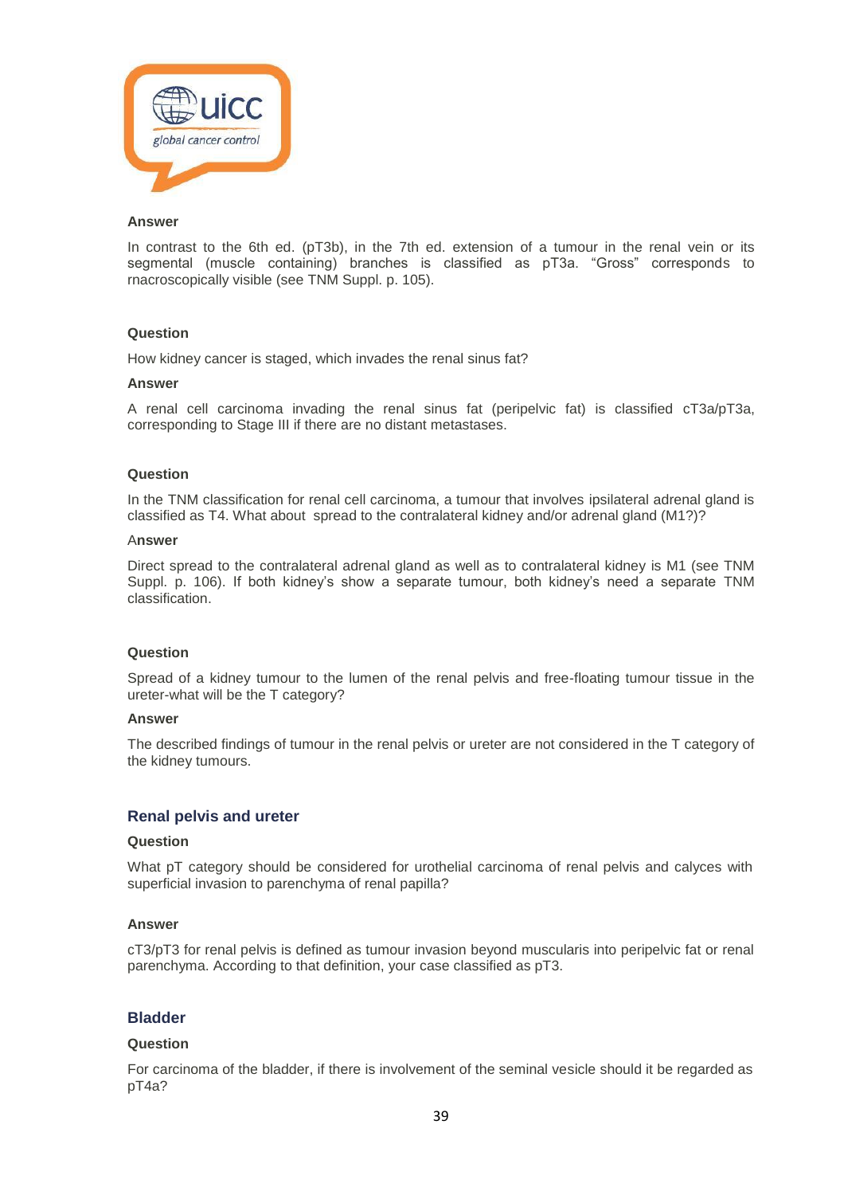

In contrast to the 6th ed. (pT3b), in the 7th ed. extension of a tumour in the renal vein or its segmental (muscle containing) branches is classified as pT3a. "Gross" corresponds to rnacroscopically visible (see TNM Suppl. p. 105).

# **Question**

How kidney cancer is staged, which invades the renal sinus fat?

#### **Answer**

A renal cell carcinoma invading the renal sinus fat (peripelvic fat) is classified cT3a/pT3a, corresponding to Stage III if there are no distant metastases.

#### **Question**

In the TNM classification for renal cell carcinoma, a tumour that involves ipsilateral adrenal gland is classified as T4. What about spread to the contralateral kidney and/or adrenal gland (M1?)?

#### A**nswer**

Direct spread to the contralateral adrenal gland as well as to contralateral kidney is M1 (see TNM Suppl. p. 106). If both kidney's show a separate tumour, both kidney's need a separate TNM classification.

#### **Question**

Spread of a kidney tumour to the lumen of the renal pelvis and free-floating tumour tissue in the ureter-what will be the T category?

#### **Answer**

The described findings of tumour in the renal pelvis or ureter are not considered in the T category of the kidney tumours.

# **Renal pelvis and ureter**

#### **Question**

What pT category should be considered for urothelial carcinoma of renal pelvis and calyces with superficial invasion to parenchyma of renal papilla?

#### **Answer**

cT3/pT3 for renal pelvis is defined as tumour invasion beyond muscularis into peripelvic fat or renal parenchyma. According to that definition, your case classified as pT3.

# **Bladder**

#### **Question**

For carcinoma of the bladder, if there is involvement of the seminal vesicle should it be regarded as pT4a?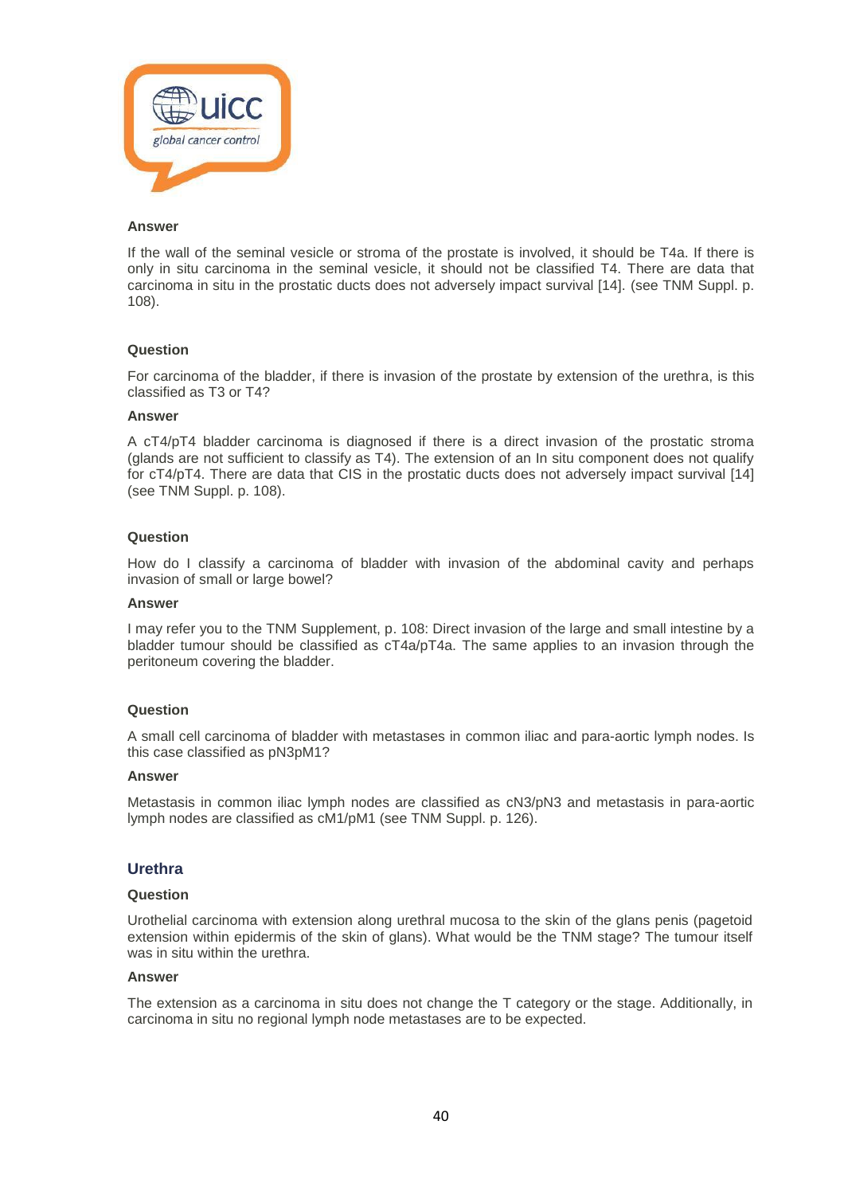

If the wall of the seminal vesicle or stroma of the prostate is involved, it should be T4a. If there is only in situ carcinoma in the seminal vesicle, it should not be classified T4. There are data that carcinoma in situ in the prostatic ducts does not adversely impact survival [14]. (see TNM Suppl. p. 108).

#### **Question**

For carcinoma of the bladder, if there is invasion of the prostate by extension of the urethra, is this classified as T3 or T4?

#### **Answer**

A cT4/pT4 bladder carcinoma is diagnosed if there is a direct invasion of the prostatic stroma (glands are not sufficient to classify as T4). The extension of an In situ component does not qualify for cT4/pT4. There are data that CIS in the prostatic ducts does not adversely impact survival [14] (see TNM Suppl. p. 108).

#### **Question**

How do I classify a carcinoma of bladder with invasion of the abdominal cavity and perhaps invasion of small or large bowel?

#### **Answer**

I may refer you to the TNM Supplement, p. 108: Direct invasion of the large and small intestine by a bladder tumour should be classified as cT4a/pT4a. The same applies to an invasion through the peritoneum covering the bladder.

# **Question**

A small cell carcinoma of bladder with metastases in common iliac and para-aortic lymph nodes. Is this case classified as pN3pM1?

#### **Answer**

Metastasis in common iliac lymph nodes are classified as cN3/pN3 and metastasis in para-aortic lymph nodes are classified as cM1/pM1 (see TNM Suppl. p. 126).

#### **Urethra**

#### **Question**

Urothelial carcinoma with extension along urethral mucosa to the skin of the glans penis (pagetoid extension within epidermis of the skin of glans). What would be the TNM stage? The tumour itself was in situ within the urethra.

#### **Answer**

The extension as a carcinoma in situ does not change the T category or the stage. Additionally, in carcinoma in situ no regional lymph node metastases are to be expected.